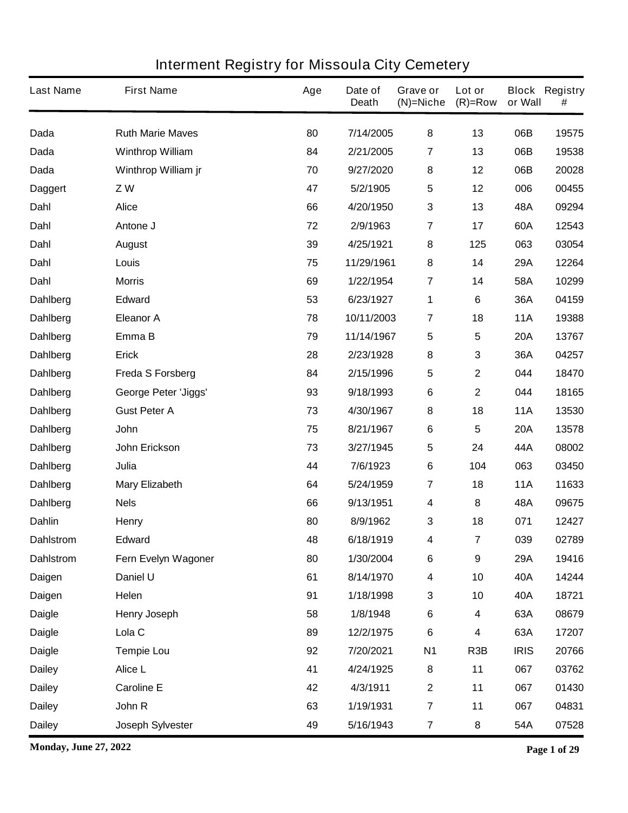| <b>Last Name</b> | <b>First Name</b>           | Age | Date of<br><b>Death</b> | Grave or<br>$(N)$ =Niche | Lot or<br>$(R)=Row$     | or Wall     | <b>Block Registry</b><br># |
|------------------|-----------------------------|-----|-------------------------|--------------------------|-------------------------|-------------|----------------------------|
| Dada             | <b>Ruth Marie Maves</b>     | 80  | 7/14/2005               | 8                        | 13                      | 06B         | 19575                      |
| <b>Dada</b>      | <b>Winthrop William</b>     | 84  | 2/21/2005               | 7                        | 13                      | 06B         | 19538                      |
| Dada             | Winthrop William jr         | 70  | 9/27/2020               | 8                        | 12                      | 06B         | 20028                      |
| Daggert          | ZW                          | 47  | 5/2/1905                | 5                        | 12                      | 006         | 00455                      |
| Dahl             | <b>Alice</b>                | 66  | 4/20/1950               | $\mathbf{3}$             | 13                      | 48A         | 09294                      |
| Dahl             | Antone J                    | 72  | 2/9/1963                | $\overline{\mathbf{r}}$  | 17                      | 60A         | 12543                      |
| Dahl             | <b>August</b>               | 39  | 4/25/1921               | 8                        | 125                     | 063         | 03054                      |
| Dahl             | Louis                       | 75  | 11/29/1961              | 8                        | 14                      | 29A         | 12264                      |
| Dahl             | <b>Morris</b>               | 69  | 1/22/1954               | $\overline{\mathbf{r}}$  | 14                      | 58A         | 10299                      |
| Dahlberg         | <b>Edward</b>               | 53  | 6/23/1927               | 1                        | 6                       | 36A         | 04159                      |
| <b>Dahlberg</b>  | <b>Eleanor A</b>            | 78  | 10/11/2003              | 7                        | 18                      | <b>11A</b>  | 19388                      |
| <b>Dahlberg</b>  | Emma B                      | 79  | 11/14/1967              | 5                        | 5                       | <b>20A</b>  | 13767                      |
| <b>Dahlberg</b>  | <b>Erick</b>                | 28  | 2/23/1928               | 8                        | 3                       | 36A         | 04257                      |
| Dahlberg         | <b>Freda S Forsberg</b>     | 84  | 2/15/1996               | $\sqrt{5}$               | $\mathbf{2}$            | 044         | 18470                      |
| <b>Dahlberg</b>  | <b>George Peter 'Jiggs'</b> | 93  | 9/18/1993               | $\bf 6$                  | $\mathbf 2$             | 044         | 18165                      |
| <b>Dahlberg</b>  | <b>Gust Peter A</b>         | 73  | 4/30/1967               | 8                        | 18                      | <b>11A</b>  | 13530                      |
| <b>Dahlberg</b>  | <b>John</b>                 | 75  | 8/21/1967               | 6                        | 5                       | <b>20A</b>  | 13578                      |
| Dahlberg         | John Erickson               | 73  | 3/27/1945               | $\sqrt{5}$               | 24                      | 44A         | 08002                      |
| <b>Dahlberg</b>  | Julia                       | 44  | 7/6/1923                | 6                        | 104                     | 063         | 03450                      |
| <b>Dahlberg</b>  | <b>Mary Elizabeth</b>       | 64  | 5/24/1959               | $\overline{7}$           | 18                      | <b>11A</b>  | 11633                      |
| Dahlberg         | <b>Nels</b>                 | 66  | 9/13/1951               | 4                        | 8                       | 48A         | 09675                      |
| <b>Dahlin</b>    | <b>Henry</b>                | 80  | 8/9/1962                | 3                        | 18                      | 071         | 12427                      |
| <b>Dahlstrom</b> | <b>Edward</b>               | 48  | 6/18/1919               | 4                        | $\overline{\mathbf{7}}$ | 039         | 02789                      |
| <b>Dahlstrom</b> | Fern Evelyn Wagoner         | 80  | 1/30/2004               | $\bf 6$                  | 9                       | 29A         | 19416                      |
| Daigen           | Daniel U                    | 61  | 8/14/1970               | 4                        | 10                      | 40A         | 14244                      |
| Daigen           | Helen                       | 91  | 1/18/1998               | $\mathbf 3$              | 10                      | 40A         | 18721                      |
| <b>Daigle</b>    | <b>Henry Joseph</b>         | 58  | 1/8/1948                | $\bf 6$                  | 4                       | 63A         | 08679                      |
| <b>Daigle</b>    | Lola <sub>C</sub>           | 89  | 12/2/1975               | $\bf 6$                  | 4                       | 63A         | 17207                      |
| <b>Daigle</b>    | <b>Tempie Lou</b>           | 92  | 7/20/2021               | <b>N1</b>                | R <sub>3</sub> B        | <b>IRIS</b> | 20766                      |
| <b>Dailey</b>    | Alice L                     | 41  | 4/24/1925               | 8                        | 11                      | 067         | 03762                      |
| <b>Dailey</b>    | <b>Caroline E</b>           | 42  | 4/3/1911                | $\mathbf{2}$             | 11                      | 067         | 01430                      |
| <b>Dailey</b>    | John R                      | 63  | 1/19/1931               | $\overline{7}$           | 11                      | 067         | 04831                      |
| <b>Dailey</b>    | <b>Joseph Sylvester</b>     | 49  | 5/16/1943               | $\overline{7}$           | 8                       | 54A         | 07528                      |

**Monday, June 27, 2022 Page 1 of 29**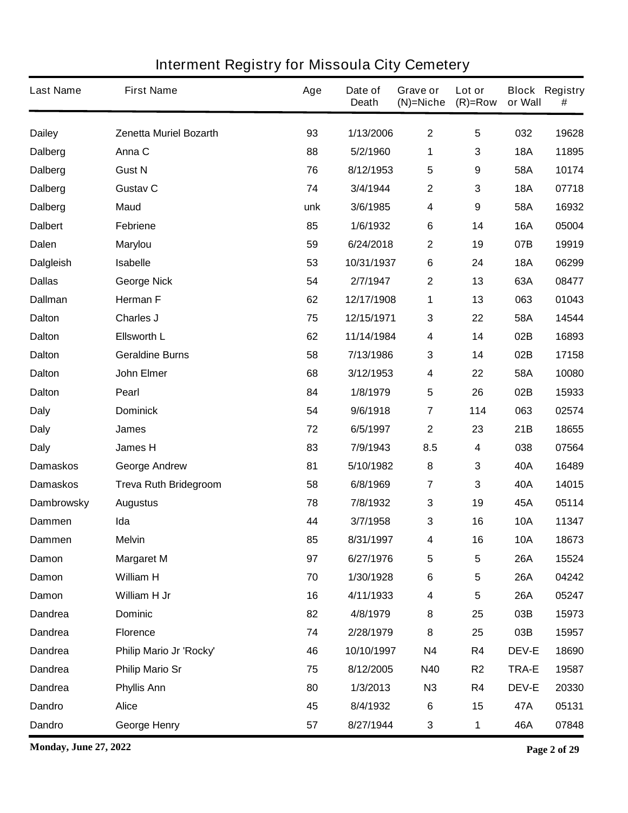| <b>Last Name</b>  | <b>First Name</b>             | Age | Date of<br><b>Death</b> | Grave or<br>$(N)$ =Niche | Lot or<br>$(R)=Row$ | or Wall      | <b>Block Registry</b><br># |
|-------------------|-------------------------------|-----|-------------------------|--------------------------|---------------------|--------------|----------------------------|
| <b>Dailey</b>     | <b>Zenetta Muriel Bozarth</b> | 93  | 1/13/2006               | $\mathbf 2$              | 5                   | 032          | 19628                      |
| <b>Dalberg</b>    | Anna C                        | 88  | 5/2/1960                | 1                        | 3                   | <b>18A</b>   | 11895                      |
| <b>Dalberg</b>    | <b>Gust N</b>                 | 76  | 8/12/1953               | $5\phantom{.0}$          | 9                   | 58A          | 10174                      |
| <b>Dalberg</b>    | <b>Gustav C</b>               | 74  | 3/4/1944                | $\mathbf 2$              | 3                   | <b>18A</b>   | 07718                      |
| <b>Dalberg</b>    | <b>Maud</b>                   | unk | 3/6/1985                | 4                        | 9                   | 58A          | 16932                      |
| <b>Dalbert</b>    | <b>Febriene</b>               | 85  | 1/6/1932                | 6                        | 14                  | <b>16A</b>   | 05004                      |
| <b>Dalen</b>      | <b>Marylou</b>                | 59  | 6/24/2018               | $\mathbf{2}$             | 19                  | 07B          | 19919                      |
| <b>Dalgleish</b>  | <b>Isabelle</b>               | 53  | 10/31/1937              | 6                        | 24                  | <b>18A</b>   | 06299                      |
| <b>Dallas</b>     | <b>George Nick</b>            | 54  | 2/7/1947                | $\mathbf 2$              | 13                  | 63A          | 08477                      |
| <b>Dallman</b>    | <b>Herman F</b>               | 62  | 12/17/1908              | 1                        | 13                  | 063          | 01043                      |
| <b>Dalton</b>     | <b>Charles J</b>              | 75  | 12/15/1971              | $\mathbf 3$              | 22                  | 58A          | 14544                      |
| <b>Dalton</b>     | <b>Ellsworth L</b>            | 62  | 11/14/1984              | 4                        | 14                  | 02B          | 16893                      |
| <b>Dalton</b>     | <b>Geraldine Burns</b>        | 58  | 7/13/1986               | $\mathbf 3$              | 14                  | 02B          | 17158                      |
| <b>Dalton</b>     | <b>John Elmer</b>             | 68  | 3/12/1953               | 4                        | 22                  | 58A          | 10080                      |
| <b>Dalton</b>     | Pearl                         | 84  | 1/8/1979                | $5\phantom{.0}$          | 26                  | 02B          | 15933                      |
| <b>Daly</b>       | <b>Dominick</b>               | 54  | 9/6/1918                | $\overline{\mathbf{7}}$  | 114                 | 063          | 02574                      |
| <b>Daly</b>       | James                         | 72  | 6/5/1997                | $\mathbf 2$              | 23                  | 21B          | 18655                      |
| <b>Daly</b>       | James H                       | 83  | 7/9/1943                | 8.5                      | 4                   | 038          | 07564                      |
| <b>Damaskos</b>   | <b>George Andrew</b>          | 81  | 5/10/1982               | 8                        | 3                   | 40A          | 16489                      |
| <b>Damaskos</b>   | <b>Treva Ruth Bridegroom</b>  | 58  | 6/8/1969                | 7                        | 3                   | 40A          | 14015                      |
| <b>Dambrowsky</b> | <b>Augustus</b>               | 78  | 7/8/1932                | 3                        | 19                  | 45A          | 05114                      |
| <b>Dammen</b>     | Ida                           | 44  | 3/7/1958                | 3                        | 16                  | <b>10A</b>   | 11347                      |
| <b>Dammen</b>     | <b>Melvin</b>                 | 85  | 8/31/1997               | 4                        | 16                  | <b>10A</b>   | 18673                      |
| Damon             | <b>Margaret M</b>             | 97  | 6/27/1976               | 5                        | 5                   | <b>26A</b>   | 15524                      |
| Damon             | <b>William H</b>              | 70  | 1/30/1928               | 6                        | 5                   | <b>26A</b>   | 04242                      |
| Damon             | William H Jr                  | 16  | 4/11/1933               | $\overline{\mathbf{4}}$  | 5                   | <b>26A</b>   | 05247                      |
| <b>Dandrea</b>    | <b>Dominic</b>                | 82  | 4/8/1979                | 8                        | 25                  | 03B          | 15973                      |
| <b>Dandrea</b>    | <b>Florence</b>               | 74  | 2/28/1979               | 8                        | 25                  | 03B          | 15957                      |
| <b>Dandrea</b>    | Philip Mario Jr 'Rocky'       | 46  | 10/10/1997              | <b>N4</b>                | R4                  | <b>DEV-E</b> | 18690                      |
| <b>Dandrea</b>    | <b>Philip Mario Sr</b>        | 75  | 8/12/2005               | <b>N40</b>               | R <sub>2</sub>      | <b>TRA-E</b> | 19587                      |
| <b>Dandrea</b>    | <b>Phyllis Ann</b>            | 80  | 1/3/2013                | N3                       | R4                  | <b>DEV-E</b> | 20330                      |
| <b>Dandro</b>     | <b>Alice</b>                  | 45  | 8/4/1932                | 6                        | 15                  | 47A          | 05131                      |
| <b>Dandro</b>     | <b>George Henry</b>           | 57  | 8/27/1944               | 3                        | 1                   | 46A          | 07848                      |

**Monday, June 27, 2022 Page 2 of 29**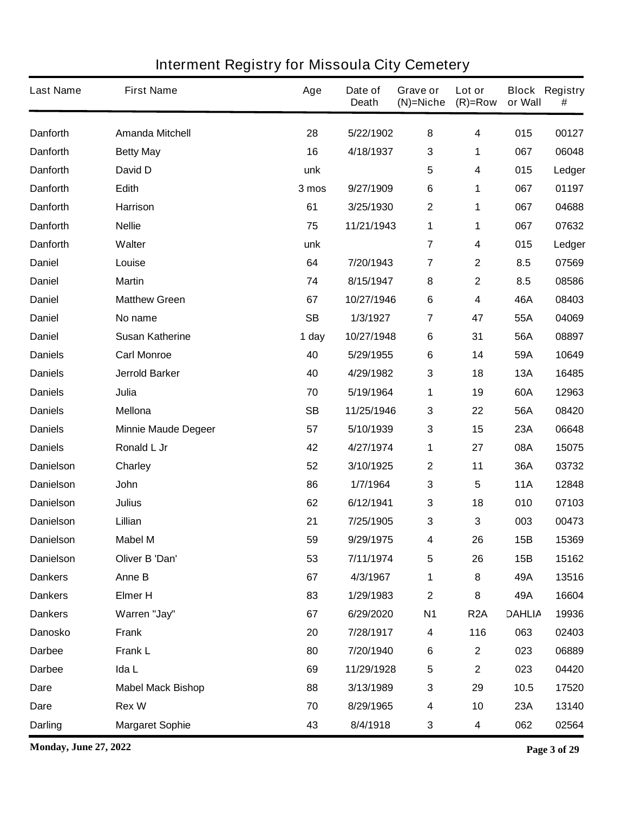| <b>Last Name</b> | <b>First Name</b>          | Age       | Date of<br><b>Death</b> | Grave or<br>$(N)$ =Niche | Lot or<br>$(R)=Row$     | or Wall       | <b>Block Registry</b><br># |
|------------------|----------------------------|-----------|-------------------------|--------------------------|-------------------------|---------------|----------------------------|
| <b>Danforth</b>  | <b>Amanda Mitchell</b>     | 28        | 5/22/1902               | 8                        | 4                       | 015           | 00127                      |
| <b>Danforth</b>  | <b>Betty May</b>           | 16        | 4/18/1937               | 3                        | 1                       | 067           | 06048                      |
| <b>Danforth</b>  | David D                    | unk       |                         | 5                        | 4                       | 015           | Ledger                     |
| <b>Danforth</b>  | Edith                      | 3 mos     | 9/27/1909               | $\bf 6$                  | 1                       | 067           | 01197                      |
| <b>Danforth</b>  | <b>Harrison</b>            | 61        | 3/25/1930               | $\boldsymbol{2}$         | 1                       | 067           | 04688                      |
| <b>Danforth</b>  | <b>Nellie</b>              | 75        | 11/21/1943              | 1                        | 1                       | 067           | 07632                      |
| <b>Danforth</b>  | Walter                     | unk       |                         | $\overline{7}$           | 4                       | 015           | Ledger                     |
| <b>Daniel</b>    | Louise                     | 64        | 7/20/1943               | $\overline{\mathbf{r}}$  | $\mathbf 2$             | 8.5           | 07569                      |
| <b>Daniel</b>    | <b>Martin</b>              | 74        | 8/15/1947               | 8                        | $\mathbf 2$             | 8.5           | 08586                      |
| <b>Daniel</b>    | <b>Matthew Green</b>       | 67        | 10/27/1946              | $\bf 6$                  | 4                       | 46A           | 08403                      |
| <b>Daniel</b>    | No name                    | <b>SB</b> | 1/3/1927                | 7                        | 47                      | 55A           | 04069                      |
| <b>Daniel</b>    | <b>Susan Katherine</b>     | 1 day     | 10/27/1948              | 6                        | 31                      | 56A           | 08897                      |
| <b>Daniels</b>   | <b>Carl Monroe</b>         | 40        | 5/29/1955               | $\bf 6$                  | 14                      | 59A           | 10649                      |
| <b>Daniels</b>   | <b>Jerrold Barker</b>      | 40        | 4/29/1982               | 3                        | 18                      | <b>13A</b>    | 16485                      |
| <b>Daniels</b>   | Julia                      | 70        | 5/19/1964               | 1                        | 19                      | 60A           | 12963                      |
| <b>Daniels</b>   | <b>Mellona</b>             | <b>SB</b> | 11/25/1946              | 3                        | 22                      | 56A           | 08420                      |
| <b>Daniels</b>   | <b>Minnie Maude Degeer</b> | 57        | 5/10/1939               | $\mathbf 3$              | 15                      | 23A           | 06648                      |
| <b>Daniels</b>   | Ronald L Jr                | 42        | 4/27/1974               | 1                        | 27                      | 08A           | 15075                      |
| <b>Danielson</b> | Charley                    | 52        | 3/10/1925               | $\boldsymbol{2}$         | 11                      | 36A           | 03732                      |
| <b>Danielson</b> | John                       | 86        | 1/7/1964                | 3                        | 5                       | <b>11A</b>    | 12848                      |
| <b>Danielson</b> | <b>Julius</b>              | 62        | 6/12/1941               | 3                        | 18                      | 010           | 07103                      |
| <b>Danielson</b> | Lillian                    | 21        | 7/25/1905               | 3                        | 3                       | 003           | 00473                      |
| <b>Danielson</b> | <b>Mabel M</b>             | 59        | 9/29/1975               | 4                        | 26                      | <b>15B</b>    | 15369                      |
| <b>Danielson</b> | Oliver B 'Dan'             | 53        | 7/11/1974               | 5                        | 26                      | 15B           | 15162                      |
| <b>Dankers</b>   | Anne B                     | 67        | 4/3/1967                | 1                        | 8                       | 49A           | 13516                      |
| <b>Dankers</b>   | <b>Elmer H</b>             | 83        | 1/29/1983               | $\boldsymbol{2}$         | 8                       | 49A           | 16604                      |
| <b>Dankers</b>   | Warren "Jay"               | 67        | 6/29/2020               | <b>N1</b>                | R <sub>2</sub> A        | <b>DAHLIA</b> | 19936                      |
| <b>Danosko</b>   | <b>Frank</b>               | 20        | 7/28/1917               | 4                        | 116                     | 063           | 02403                      |
| <b>Darbee</b>    | <b>Frank L</b>             | 80        | 7/20/1940               | $\bf 6$                  | $\overline{\mathbf{2}}$ | 023           | 06889                      |
| <b>Darbee</b>    | Ida L                      | 69        | 11/29/1928              | $\sqrt{5}$               | $\mathbf 2$             | 023           | 04420                      |
| Dare             | <b>Mabel Mack Bishop</b>   | 88        | 3/13/1989               | 3                        | 29                      | 10.5          | 17520                      |
| <b>Dare</b>      | <b>Rex W</b>               | 70        | 8/29/1965               | 4                        | 10                      | 23A           | 13140                      |
| <b>Darling</b>   | <b>Margaret Sophie</b>     | 43        | 8/4/1918                | 3                        | 4                       | 062           | 02564                      |

**Monday, June 27, 2022 Page 3 of 29**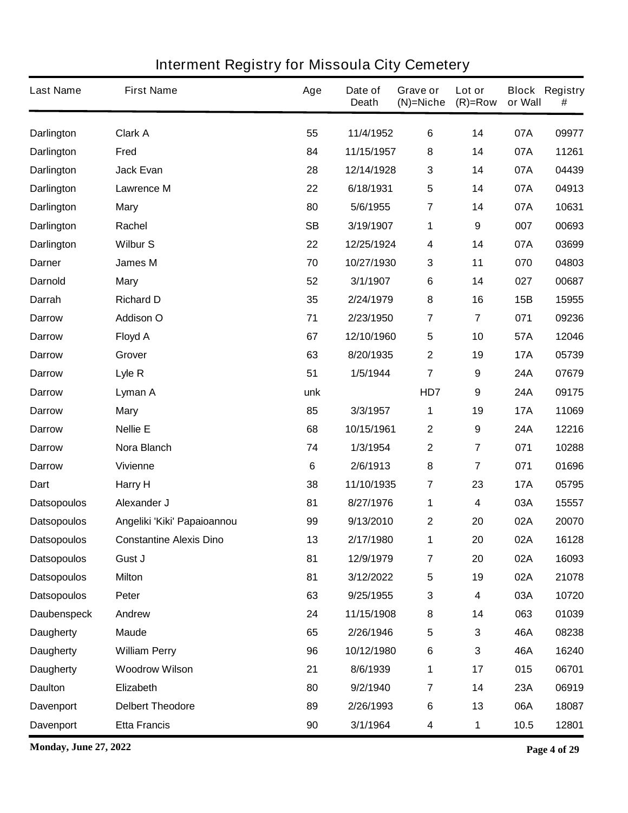| <b>Last Name</b>   | <b>First Name</b>              | Age             | Date of<br><b>Death</b> | Grave or<br>$(N)$ =Niche | Lot or<br>$(R)=Row$     | or Wall    | <b>Block Registry</b><br># |
|--------------------|--------------------------------|-----------------|-------------------------|--------------------------|-------------------------|------------|----------------------------|
| <b>Darlington</b>  | <b>Clark A</b>                 | 55              | 11/4/1952               | $\bf 6$                  | 14                      | 07A        | 09977                      |
| Darlington         | Fred                           | 84              | 11/15/1957              | 8                        | 14                      | 07A        | 11261                      |
| <b>Darlington</b>  | <b>Jack Evan</b>               | 28              | 12/14/1928              | $\mathbf{3}$             | 14                      | 07A        | 04439                      |
| <b>Darlington</b>  | <b>Lawrence M</b>              | 22              | 6/18/1931               | 5                        | 14                      | 07A        | 04913                      |
| <b>Darlington</b>  | <b>Mary</b>                    | 80              | 5/6/1955                | $\overline{7}$           | 14                      | 07A        | 10631                      |
| Darlington         | Rachel                         | <b>SB</b>       | 3/19/1907               | 1                        | 9                       | 007        | 00693                      |
| <b>Darlington</b>  | <b>Wilbur S</b>                | 22              | 12/25/1924              | $\overline{\mathbf{4}}$  | 14                      | 07A        | 03699                      |
| <b>Darner</b>      | <b>James M</b>                 | 70              | 10/27/1930              | 3                        | 11                      | 070        | 04803                      |
| <b>Darnold</b>     | <b>Mary</b>                    | 52              | 3/1/1907                | 6                        | 14                      | 027        | 00687                      |
| Darrah             | <b>Richard D</b>               | 35              | 2/24/1979               | 8                        | 16                      | 15B        | 15955                      |
| <b>Darrow</b>      | <b>Addison O</b>               | 71              | 2/23/1950               | $\overline{7}$           | $\overline{\mathbf{7}}$ | 071        | 09236                      |
| <b>Darrow</b>      | <b>Floyd A</b>                 | 67              | 12/10/1960              | $\sqrt{5}$               | 10                      | 57A        | 12046                      |
| <b>Darrow</b>      | Grover                         | 63              | 8/20/1935               | $\mathbf 2$              | 19                      | <b>17A</b> | 05739                      |
| <b>Darrow</b>      | Lyle R                         | 51              | 1/5/1944                | $\overline{7}$           | 9                       | 24A        | 07679                      |
| <b>Darrow</b>      | Lyman A                        | unk             |                         | HD7                      | 9                       | 24A        | 09175                      |
| <b>Darrow</b>      | <b>Mary</b>                    | 85              | 3/3/1957                | 1                        | 19                      | <b>17A</b> | 11069                      |
| <b>Darrow</b>      | <b>Nellie E</b>                | 68              | 10/15/1961              | $\mathbf{2}$             | $\boldsymbol{9}$        | 24A        | 12216                      |
| <b>Darrow</b>      | Nora Blanch                    | 74              | 1/3/1954                | $\boldsymbol{2}$         | 7                       | 071        | 10288                      |
| <b>Darrow</b>      | <b>Vivienne</b>                | $6\phantom{1}6$ | 2/6/1913                | 8                        | 7                       | 071        | 01696                      |
| Dart               | Harry H                        | 38              | 11/10/1935              | $\overline{7}$           | 23                      | <b>17A</b> | 05795                      |
| <b>Datsopoulos</b> | Alexander J                    | 81              | 8/27/1976               | 1                        | 4                       | 03A        | 15557                      |
| <b>Datsopoulos</b> | Angeliki 'Kiki' Papaioannou    | 99              | 9/13/2010               | $\mathbf 2$              | 20                      | 02A        | 20070                      |
| <b>Datsopoulos</b> | <b>Constantine Alexis Dino</b> | 13              | 2/17/1980               | 1                        | 20                      | 02A        | 16128                      |
| <b>Datsopoulos</b> | Gust J                         | 81              | 12/9/1979               | $\overline{7}$           | 20                      | 02A        | 16093                      |
| <b>Datsopoulos</b> | <b>Milton</b>                  | 81              | 3/12/2022               | $\sqrt{5}$               | 19                      | 02A        | 21078                      |
| <b>Datsopoulos</b> | Peter                          | 63              | 9/25/1955               | $\mathbf{3}$             | 4                       | 03A        | 10720                      |
| <b>Daubenspeck</b> | Andrew                         | 24              | 11/15/1908              | 8                        | 14                      | 063        | 01039                      |
| <b>Daugherty</b>   | <b>Maude</b>                   | 65              | 2/26/1946               | $\sqrt{5}$               | 3                       | 46A        | 08238                      |
| <b>Daugherty</b>   | <b>William Perry</b>           | 96              | 10/12/1980              | $\bf 6$                  | 3                       | 46A        | 16240                      |
| <b>Daugherty</b>   | <b>Woodrow Wilson</b>          | 21              | 8/6/1939                | 1                        | 17                      | 015        | 06701                      |
| <b>Daulton</b>     | Elizabeth                      | 80              | 9/2/1940                | $\overline{7}$           | 14                      | 23A        | 06919                      |
| <b>Davenport</b>   | <b>Delbert Theodore</b>        | 89              | 2/26/1993               | $\bf 6$                  | 13                      | 06A        | 18087                      |
| <b>Davenport</b>   | <b>Etta Francis</b>            | 90              | 3/1/1964                | 4                        | 1                       | 10.5       | 12801                      |

**Monday, June 27, 2022 Page 4 of 29**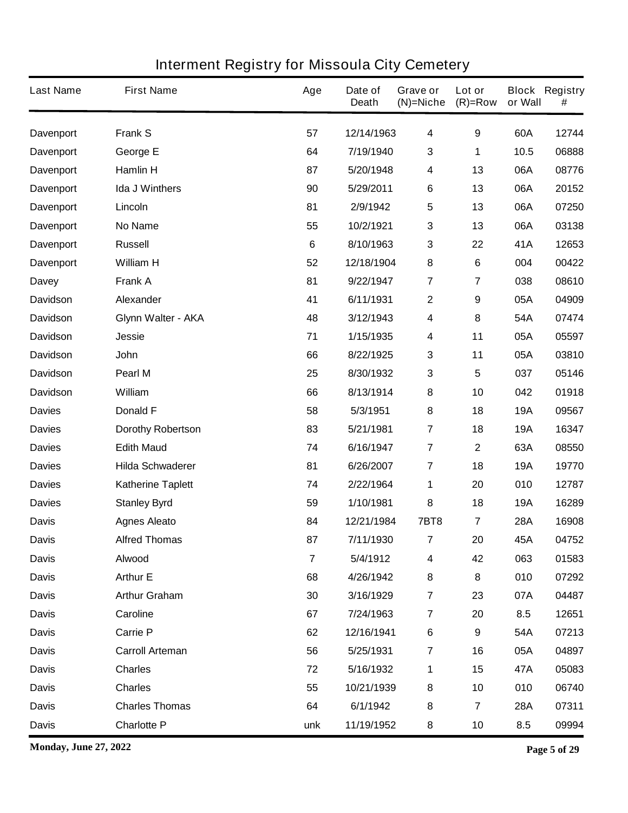| <b>Last Name</b> | <b>First Name</b>         | Age            | Date of<br><b>Death</b> | Grave or<br>$(N)$ =Niche | Lot or<br>$(R)=Row$ | or Wall    | <b>Block Registry</b><br># |
|------------------|---------------------------|----------------|-------------------------|--------------------------|---------------------|------------|----------------------------|
| Davenport        | <b>Frank S</b>            | 57             | 12/14/1963              | $\overline{\mathbf{4}}$  | $\boldsymbol{9}$    | 60A        | 12744                      |
| <b>Davenport</b> | George E                  | 64             | 7/19/1940               | $\mathbf{3}$             | 1                   | 10.5       | 06888                      |
| <b>Davenport</b> | <b>Hamlin H</b>           | 87             | 5/20/1948               | $\overline{\mathbf{4}}$  | 13                  | 06A        | 08776                      |
| <b>Davenport</b> | <b>Ida J Winthers</b>     | 90             | 5/29/2011               | 6                        | 13                  | 06A        | 20152                      |
| <b>Davenport</b> | Lincoln                   | 81             | 2/9/1942                | $5\phantom{.0}$          | 13                  | 06A        | 07250                      |
| <b>Davenport</b> | <b>No Name</b>            | 55             | 10/2/1921               | $\mathbf 3$              | 13                  | 06A        | 03138                      |
| <b>Davenport</b> | <b>Russell</b>            | $6\phantom{1}$ | 8/10/1963               | $\mathbf{3}$             | 22                  | 41A        | 12653                      |
| <b>Davenport</b> | <b>William H</b>          | 52             | 12/18/1904              | $\bf 8$                  | 6                   | 004        | 00422                      |
| <b>Davey</b>     | <b>Frank A</b>            | 81             | 9/22/1947               | $\overline{7}$           | 7                   | 038        | 08610                      |
| <b>Davidson</b>  | Alexander                 | 41             | 6/11/1931               | $\mathbf{2}$             | 9                   | 05A        | 04909                      |
| <b>Davidson</b>  | <b>Glynn Walter - AKA</b> | 48             | 3/12/1943               | 4                        | 8                   | 54A        | 07474                      |
| <b>Davidson</b>  | <b>Jessie</b>             | 71             | 1/15/1935               | 4                        | 11                  | 05A        | 05597                      |
| <b>Davidson</b>  | John                      | 66             | 8/22/1925               | $\mathbf{3}$             | 11                  | 05A        | 03810                      |
| <b>Davidson</b>  | Pearl M                   | 25             | 8/30/1932               | $\mathbf 3$              | 5                   | 037        | 05146                      |
| <b>Davidson</b>  | <b>William</b>            | 66             | 8/13/1914               | 8                        | 10                  | 042        | 01918                      |
| <b>Davies</b>    | <b>Donald F</b>           | 58             | 5/3/1951                | $\pmb{8}$                | 18                  | <b>19A</b> | 09567                      |
| <b>Davies</b>    | <b>Dorothy Robertson</b>  | 83             | 5/21/1981               | 7                        | 18                  | <b>19A</b> | 16347                      |
| <b>Davies</b>    | <b>Edith Maud</b>         | 74             | 6/16/1947               | 7                        | $\mathbf 2$         | 63A        | 08550                      |
| <b>Davies</b>    | <b>Hilda Schwaderer</b>   | 81             | 6/26/2007               | 7                        | 18                  | <b>19A</b> | 19770                      |
| <b>Davies</b>    | <b>Katherine Taplett</b>  | 74             | 2/22/1964               | 1                        | 20                  | 010        | 12787                      |
| <b>Davies</b>    | <b>Stanley Byrd</b>       | 59             | 1/10/1981               | 8                        | 18                  | <b>19A</b> | 16289                      |
| <b>Davis</b>     | <b>Agnes Aleato</b>       | 84             | 12/21/1984              | <b>7BT8</b>              | 7                   | 28A        | 16908                      |
| <b>Davis</b>     | <b>Alfred Thomas</b>      | 87             | 7/11/1930               | 7                        | 20                  | 45A        | 04752                      |
| <b>Davis</b>     | Alwood                    | $\overline{7}$ | 5/4/1912                | $\boldsymbol{4}$         | 42                  | 063        | 01583                      |
| <b>Davis</b>     | <b>Arthur E</b>           | 68             | 4/26/1942               | 8                        | 8                   | 010        | 07292                      |
| <b>Davis</b>     | <b>Arthur Graham</b>      | 30             | 3/16/1929               | $\overline{7}$           | 23                  | 07A        | 04487                      |
| <b>Davis</b>     | Caroline                  | 67             | 7/24/1963               | $\overline{7}$           | 20                  | 8.5        | 12651                      |
| <b>Davis</b>     | <b>Carrie P</b>           | 62             | 12/16/1941              | 6                        | 9                   | 54A        | 07213                      |
| <b>Davis</b>     | <b>Carroll Arteman</b>    | 56             | 5/25/1931               | $\overline{7}$           | 16                  | 05A        | 04897                      |
| <b>Davis</b>     | <b>Charles</b>            | 72             | 5/16/1932               | 1                        | 15                  | 47A        | 05083                      |
| <b>Davis</b>     | <b>Charles</b>            | 55             | 10/21/1939              | 8                        | 10                  | 010        | 06740                      |
| <b>Davis</b>     | <b>Charles Thomas</b>     | 64             | 6/1/1942                | 8                        | 7                   | <b>28A</b> | 07311                      |
| <b>Davis</b>     | <b>Charlotte P</b>        | unk            | 11/19/1952              | 8                        | 10                  | 8.5        | 09994                      |

**Monday, June 27, 2022 Page 5 of 29**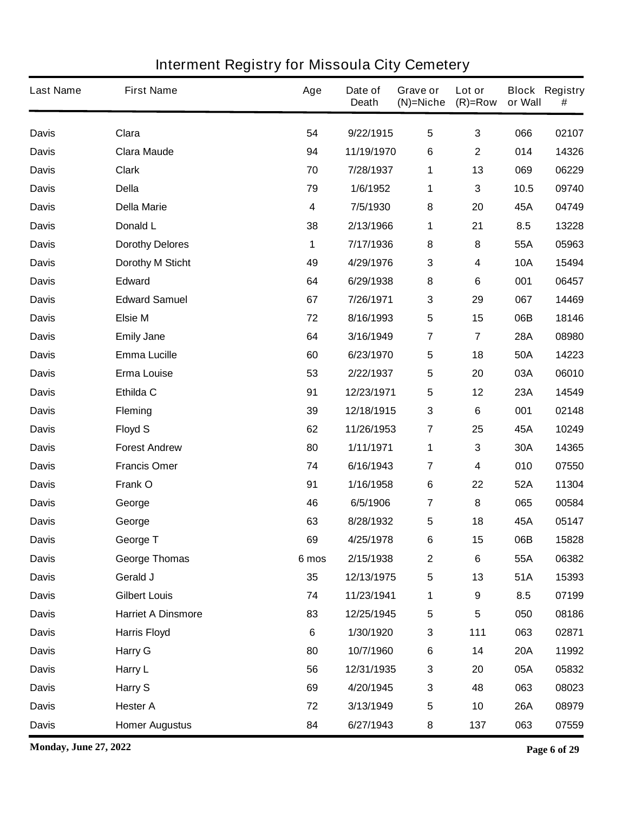| <b>Last Name</b> | <b>First Name</b>         | Age   | Date of<br><b>Death</b> | Grave or<br>$(N)$ =Niche | Lot or<br>$(R)=Row$ | or Wall    | <b>Block Registry</b><br># |
|------------------|---------------------------|-------|-------------------------|--------------------------|---------------------|------------|----------------------------|
| <b>Davis</b>     | Clara                     | 54    | 9/22/1915               | $5\phantom{.0}$          | 3                   | 066        | 02107                      |
| <b>Davis</b>     | <b>Clara Maude</b>        | 94    | 11/19/1970              | 6                        | $\mathbf 2$         | 014        | 14326                      |
| <b>Davis</b>     | <b>Clark</b>              | 70    | 7/28/1937               | 1                        | 13                  | 069        | 06229                      |
| <b>Davis</b>     | <b>Della</b>              | 79    | 1/6/1952                | 1                        | 3                   | 10.5       | 09740                      |
| <b>Davis</b>     | <b>Della Marie</b>        | 4     | 7/5/1930                | 8                        | 20                  | 45A        | 04749                      |
| <b>Davis</b>     | Donald L                  | 38    | 2/13/1966               | 1                        | 21                  | 8.5        | 13228                      |
| <b>Davis</b>     | <b>Dorothy Delores</b>    | 1     | 7/17/1936               | $\pmb{8}$                | 8                   | 55A        | 05963                      |
| <b>Davis</b>     | <b>Dorothy M Sticht</b>   | 49    | 4/29/1976               | $\mathbf 3$              | 4                   | <b>10A</b> | 15494                      |
| <b>Davis</b>     | <b>Edward</b>             | 64    | 6/29/1938               | ${\bf 8}$                | 6                   | 001        | 06457                      |
| <b>Davis</b>     | <b>Edward Samuel</b>      | 67    | 7/26/1971               | $\mathbf{3}$             | 29                  | 067        | 14469                      |
| <b>Davis</b>     | <b>Elsie M</b>            | 72    | 8/16/1993               | $\sqrt{5}$               | 15                  | 06B        | 18146                      |
| <b>Davis</b>     | <b>Emily Jane</b>         | 64    | 3/16/1949               | $\overline{7}$           | 7                   | <b>28A</b> | 08980                      |
| <b>Davis</b>     | <b>Emma Lucille</b>       | 60    | 6/23/1970               | $\sqrt{5}$               | 18                  | 50A        | 14223                      |
| <b>Davis</b>     | <b>Erma Louise</b>        | 53    | 2/22/1937               | 5                        | 20                  | 03A        | 06010                      |
| <b>Davis</b>     | Ethilda C                 | 91    | 12/23/1971              | $\sqrt{5}$               | 12                  | 23A        | 14549                      |
| <b>Davis</b>     | <b>Fleming</b>            | 39    | 12/18/1915              | $\mathbf 3$              | 6                   | 001        | 02148                      |
| <b>Davis</b>     | <b>Floyd S</b>            | 62    | 11/26/1953              | $\overline{7}$           | 25                  | 45A        | 10249                      |
| <b>Davis</b>     | <b>Forest Andrew</b>      | 80    | 1/11/1971               | 1                        | 3                   | 30A        | 14365                      |
| <b>Davis</b>     | <b>Francis Omer</b>       | 74    | 6/16/1943               | 7                        | 4                   | 010        | 07550                      |
| <b>Davis</b>     | Frank O                   | 91    | 1/16/1958               | $\bf 6$                  | 22                  | 52A        | 11304                      |
| <b>Davis</b>     | George                    | 46    | 6/5/1906                | 7                        | 8                   | 065        | 00584                      |
| <b>Davis</b>     | George                    | 63    | 8/28/1932               | 5                        | 18                  | 45A        | 05147                      |
| <b>Davis</b>     | George T                  | 69    | 4/25/1978               | 6                        | 15                  | 06B        | 15828                      |
| <b>Davis</b>     | <b>George Thomas</b>      | 6 mos | 2/15/1938               | $\boldsymbol{2}$         | $\bf 6$             | 55A        | 06382                      |
| <b>Davis</b>     | Gerald J                  | 35    | 12/13/1975              | $\sqrt{5}$               | 13                  | 51A        | 15393                      |
| <b>Davis</b>     | <b>Gilbert Louis</b>      | 74    | 11/23/1941              | 1                        | $\boldsymbol{9}$    | 8.5        | 07199                      |
| <b>Davis</b>     | <b>Harriet A Dinsmore</b> | 83    | 12/25/1945              | $\sqrt{5}$               | 5                   | 050        | 08186                      |
| <b>Davis</b>     | <b>Harris Floyd</b>       | 6     | 1/30/1920               | $\mathbf{3}$             | 111                 | 063        | 02871                      |
| <b>Davis</b>     | <b>Harry G</b>            | 80    | 10/7/1960               | $\bf 6$                  | 14                  | <b>20A</b> | 11992                      |
| <b>Davis</b>     | Harry L                   | 56    | 12/31/1935              | $\mathbf 3$              | 20                  | 05A        | 05832                      |
| <b>Davis</b>     | Harry S                   | 69    | 4/20/1945               | $\mathbf 3$              | 48                  | 063        | 08023                      |
| <b>Davis</b>     | <b>Hester A</b>           | 72    | 3/13/1949               | $\sqrt{5}$               | 10                  | <b>26A</b> | 08979                      |
| <b>Davis</b>     | <b>Homer Augustus</b>     | 84    | 6/27/1943               | 8                        | 137                 | 063        | 07559                      |

**Monday, June 27, 2022 Page 6 of 29**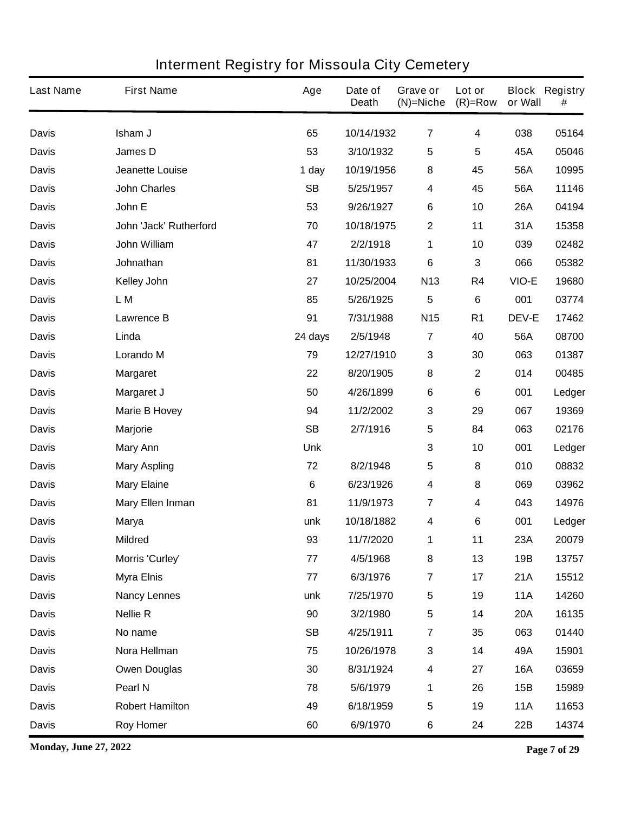| <b>Last Name</b> | <b>First Name</b>       | Age       | Date of<br><b>Death</b> | Grave or<br>$(N)$ =Niche | Lot or<br>$(R)=Row$ | or Wall      | <b>Block Registry</b><br># |
|------------------|-------------------------|-----------|-------------------------|--------------------------|---------------------|--------------|----------------------------|
| <b>Davis</b>     | Isham J                 | 65        | 10/14/1932              | $\overline{7}$           | 4                   | 038          | 05164                      |
| <b>Davis</b>     | James D                 | 53        | 3/10/1932               | $\sqrt{5}$               | 5                   | 45A          | 05046                      |
| <b>Davis</b>     | <b>Jeanette Louise</b>  | 1 day     | 10/19/1956              | 8                        | 45                  | 56A          | 10995                      |
| <b>Davis</b>     | <b>John Charles</b>     | <b>SB</b> | 5/25/1957               | 4                        | 45                  | 56A          | 11146                      |
| <b>Davis</b>     | John E                  | 53        | 9/26/1927               | $\bf 6$                  | 10                  | 26A          | 04194                      |
| <b>Davis</b>     | John 'Jack' Rutherford  | 70        | 10/18/1975              | 2                        | 11                  | 31A          | 15358                      |
| <b>Davis</b>     | John William            | 47        | 2/2/1918                | 1                        | 10                  | 039          | 02482                      |
| <b>Davis</b>     | Johnathan               | 81        | 11/30/1933              | $\bf 6$                  | 3                   | 066          | 05382                      |
| <b>Davis</b>     | <b>Kelley John</b>      | 27        | 10/25/2004              | N <sub>13</sub>          | R4                  | VIO-E        | 19680                      |
| <b>Davis</b>     | L M                     | 85        | 5/26/1925               | $5\phantom{.0}$          | 6                   | 001          | 03774                      |
| <b>Davis</b>     | <b>Lawrence B</b>       | 91        | 7/31/1988               | N <sub>15</sub>          | R <sub>1</sub>      | <b>DEV-E</b> | 17462                      |
| <b>Davis</b>     | Linda                   | 24 days   | 2/5/1948                | $\overline{7}$           | 40                  | 56A          | 08700                      |
| <b>Davis</b>     | <b>Lorando M</b>        | 79        | 12/27/1910              | $\mathbf{3}$             | 30                  | 063          | 01387                      |
| <b>Davis</b>     | <b>Margaret</b>         | 22        | 8/20/1905               | 8                        | $\mathbf 2$         | 014          | 00485                      |
| <b>Davis</b>     | Margaret J              | 50        | 4/26/1899               | $\bf 6$                  | 6                   | 001          | Ledger                     |
| <b>Davis</b>     | <b>Marie B Hovey</b>    | 94        | 11/2/2002               | 3                        | 29                  | 067          | 19369                      |
| <b>Davis</b>     | <b>Marjorie</b>         | <b>SB</b> | 2/7/1916                | $5\phantom{.0}$          | 84                  | 063          | 02176                      |
| <b>Davis</b>     | <b>Mary Ann</b>         | Unk       |                         | $\mathbf{3}$             | 10                  | 001          | Ledger                     |
| <b>Davis</b>     | <b>Mary Aspling</b>     | 72        | 8/2/1948                | $5\phantom{.0}$          | 8                   | 010          | 08832                      |
| <b>Davis</b>     | <b>Mary Elaine</b>      | 6         | 6/23/1926               | $\overline{\mathbf{4}}$  | 8                   | 069          | 03962                      |
| <b>Davis</b>     | <b>Mary Ellen Inman</b> | 81        | 11/9/1973               | $\overline{7}$           | 4                   | 043          | 14976                      |
| <b>Davis</b>     | <b>Marya</b>            | unk       | 10/18/1882              | 4                        | 6                   | 001          | Ledger                     |
| <b>Davis</b>     | <b>Mildred</b>          | 93        | 11/7/2020               | 1                        | 11                  | 23A          | 20079                      |
| <b>Davis</b>     | Morris 'Curley'         | 77        | 4/5/1968                | 8                        | 13                  | 19B          | 13757                      |
| <b>Davis</b>     | <b>Myra Elnis</b>       | 77        | 6/3/1976                | $\overline{7}$           | 17                  | 21A          | 15512                      |
| <b>Davis</b>     | <b>Nancy Lennes</b>     | unk       | 7/25/1970               | $\sqrt{5}$               | 19                  | <b>11A</b>   | 14260                      |
| <b>Davis</b>     | <b>Nellie R</b>         | 90        | 3/2/1980                | $\overline{\mathbf{5}}$  | 14                  | <b>20A</b>   | 16135                      |
| <b>Davis</b>     | No name                 | <b>SB</b> | 4/25/1911               | $\overline{7}$           | 35                  | 063          | 01440                      |
| <b>Davis</b>     | Nora Hellman            | 75        | 10/26/1978              | $\mathbf{3}$             | 14                  | 49A          | 15901                      |
| <b>Davis</b>     | <b>Owen Douglas</b>     | 30        | 8/31/1924               | $\boldsymbol{4}$         | 27                  | <b>16A</b>   | 03659                      |
| <b>Davis</b>     | Pearl N                 | 78        | 5/6/1979                | 1                        | 26                  | 15B          | 15989                      |
| <b>Davis</b>     | <b>Robert Hamilton</b>  | 49        | 6/18/1959               | ${\bf 5}$                | 19                  | <b>11A</b>   | 11653                      |
| <b>Davis</b>     | <b>Roy Homer</b>        | 60        | 6/9/1970                | $\bf 6$                  | 24                  | 22B          | 14374                      |

**Monday, June 27, 2022 Page 7 of 29**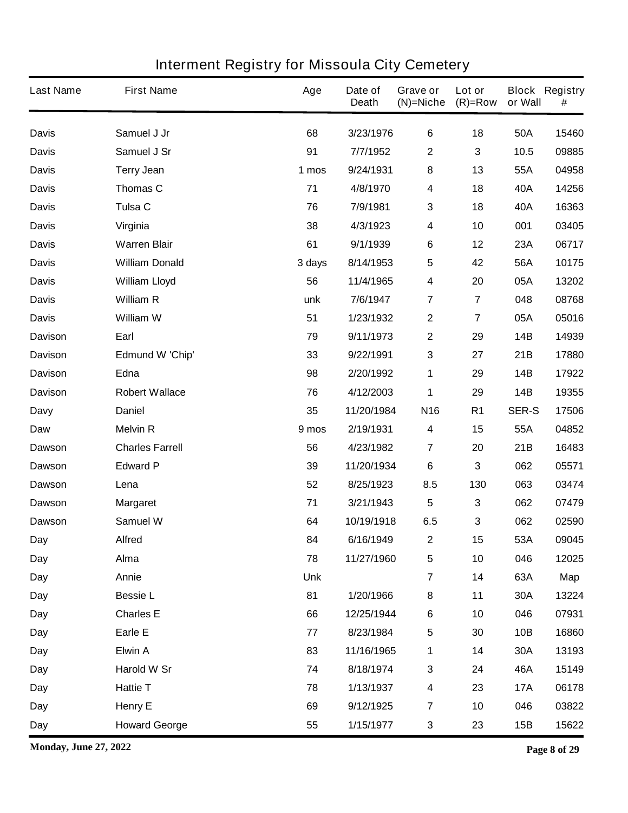| <b>Last Name</b> | <b>First Name</b>      | Age        | Date of<br><b>Death</b> | Grave or<br>$(N)$ =Niche | Lot or<br>$(R)=Row$ | or Wall      | <b>Block Registry</b><br># |
|------------------|------------------------|------------|-------------------------|--------------------------|---------------------|--------------|----------------------------|
| <b>Davis</b>     | Samuel J Jr            | 68         | 3/23/1976               | $\bf 6$                  | 18                  | 50A          | 15460                      |
| <b>Davis</b>     | Samuel J Sr            | 91         | 7/7/1952                | $\boldsymbol{2}$         | 3                   | 10.5         | 09885                      |
| <b>Davis</b>     | <b>Terry Jean</b>      | 1 mos      | 9/24/1931               | $\pmb{8}$                | 13                  | 55A          | 04958                      |
| <b>Davis</b>     | Thomas C               | 71         | 4/8/1970                | $\overline{\mathbf{4}}$  | 18                  | 40A          | 14256                      |
| <b>Davis</b>     | Tulsa C                | 76         | 7/9/1981                | $\mathbf{3}$             | 18                  | 40A          | 16363                      |
| <b>Davis</b>     | Virginia               | 38         | 4/3/1923                | $\overline{\mathbf{4}}$  | 10                  | 001          | 03405                      |
| <b>Davis</b>     | <b>Warren Blair</b>    | 61         | 9/1/1939                | $\bf 6$                  | 12                  | 23A          | 06717                      |
| <b>Davis</b>     | <b>William Donald</b>  | 3 days     | 8/14/1953               | $\sqrt{5}$               | 42                  | 56A          | 10175                      |
| <b>Davis</b>     | <b>William Lloyd</b>   | 56         | 11/4/1965               | $\overline{\mathbf{4}}$  | 20                  | 05A          | 13202                      |
| <b>Davis</b>     | <b>William R</b>       | unk        | 7/6/1947                | $\overline{7}$           | $\overline{7}$      | 048          | 08768                      |
| <b>Davis</b>     | William W              | 51         | 1/23/1932               | $\boldsymbol{2}$         | 7                   | 05A          | 05016                      |
| <b>Davison</b>   | Earl                   | 79         | 9/11/1973               | $\mathbf{2}$             | 29                  | <b>14B</b>   | 14939                      |
| <b>Davison</b>   | <b>Edmund W 'Chip'</b> | 33         | 9/22/1991               | $\mathbf{3}$             | 27                  | 21B          | 17880                      |
| <b>Davison</b>   | Edna                   | 98         | 2/20/1992               | 1                        | 29                  | 14B          | 17922                      |
| <b>Davison</b>   | <b>Robert Wallace</b>  | 76         | 4/12/2003               | 1                        | 29                  | 14B          | 19355                      |
| Davy             | <b>Daniel</b>          | 35         | 11/20/1984              | N <sub>16</sub>          | R <sub>1</sub>      | <b>SER-S</b> | 17506                      |
| Daw              | <b>Melvin R</b>        | 9 mos      | 2/19/1931               | $\overline{\mathbf{4}}$  | 15                  | 55A          | 04852                      |
| <b>Dawson</b>    | <b>Charles Farrell</b> | 56         | 4/23/1982               | 7                        | 20                  | 21B          | 16483                      |
| Dawson           | <b>Edward P</b>        | 39         | 11/20/1934              | 6                        | 3                   | 062          | 05571                      |
| Dawson           | Lena                   | 52         | 8/25/1923               | 8.5                      | 130                 | 063          | 03474                      |
| <b>Dawson</b>    | <b>Margaret</b>        | 71         | 3/21/1943               | $\overline{\mathbf{5}}$  | 3                   | 062          | 07479                      |
| <b>Dawson</b>    | <b>Samuel W</b>        | 64         | 10/19/1918              | 6.5                      | 3                   | 062          | 02590                      |
| Day              | <b>Alfred</b>          | 84         | 6/16/1949               | $\mathbf{2}$             | 15                  | 53A          | 09045                      |
| <b>Day</b>       | Alma                   | 78         | 11/27/1960              | $\sqrt{5}$               | 10                  | 046          | 12025                      |
| Day              | Annie                  | <b>Unk</b> |                         | $\overline{7}$           | 14                  | 63A          | Map                        |
| Day              | <b>Bessie L</b>        | 81         | 1/20/1966               | 8                        | 11                  | 30A          | 13224                      |
| Day              | <b>Charles E</b>       | 66         | 12/25/1944              | $\bf 6$                  | 10                  | 046          | 07931                      |
| Day              | Earle E                | 77         | 8/23/1984               | $\sqrt{5}$               | 30                  | 10B          | 16860                      |
| Day              | <b>Elwin A</b>         | 83         | 11/16/1965              | 1                        | 14                  | 30A          | 13193                      |
| Day              | Harold W Sr            | 74         | 8/18/1974               | $\mathbf 3$              | 24                  | 46A          | 15149                      |
| Day              | <b>Hattie T</b>        | 78         | 1/13/1937               | $\boldsymbol{4}$         | 23                  | <b>17A</b>   | 06178                      |
| Day              | <b>Henry E</b>         | 69         | 9/12/1925               | $\overline{7}$           | 10                  | 046          | 03822                      |
| Day              | <b>Howard George</b>   | 55         | 1/15/1977               | $\mathbf{3}$             | 23                  | 15B          | 15622                      |

**Monday, June 27, 2022 Page 8 of 29**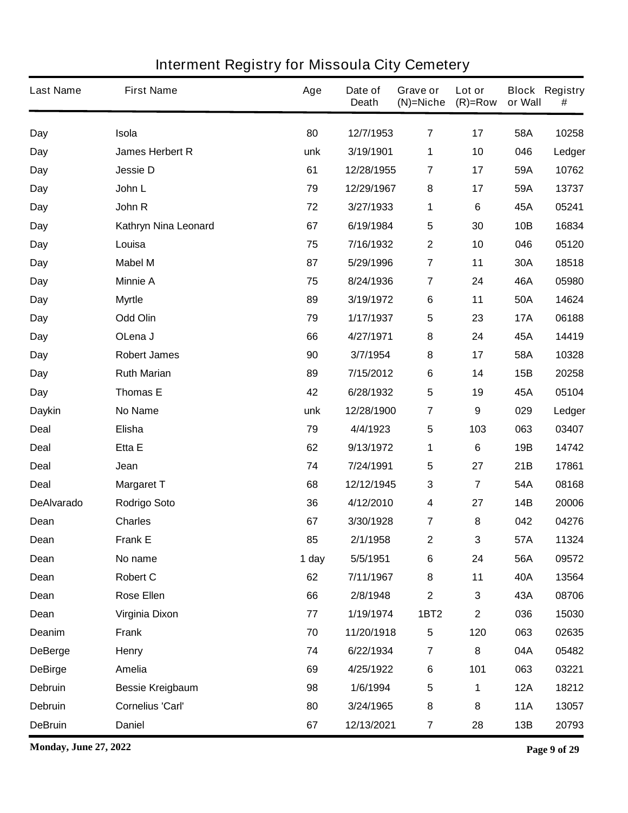| <b>Last Name</b>  | <b>First Name</b>       | Age   | Date of<br><b>Death</b> | Grave or<br>$(N)$ =Niche | Lot or<br>$(R)=Row$     | or Wall    | <b>Block Registry</b><br># |
|-------------------|-------------------------|-------|-------------------------|--------------------------|-------------------------|------------|----------------------------|
| Day               | Isola                   | 80    | 12/7/1953               | 7                        | 17                      | 58A        | 10258                      |
| Day               | <b>James Herbert R</b>  | unk   | 3/19/1901               | 1                        | 10                      | 046        | Ledger                     |
| Day               | <b>Jessie D</b>         | 61    | 12/28/1955              | $\overline{7}$           | 17                      | 59A        | 10762                      |
| Day               | John L                  | 79    | 12/29/1967              | 8                        | 17                      | 59A        | 13737                      |
| Day               | John R                  | 72    | 3/27/1933               | 1                        | 6                       | 45A        | 05241                      |
| Day               | Kathryn Nina Leonard    | 67    | 6/19/1984               | 5                        | 30                      | 10B        | 16834                      |
| Day               | Louisa                  | 75    | 7/16/1932               | $\boldsymbol{2}$         | 10                      | 046        | 05120                      |
| Day               | <b>Mabel M</b>          | 87    | 5/29/1996               | $\overline{7}$           | 11                      | 30A        | 18518                      |
| Day               | <b>Minnie A</b>         | 75    | 8/24/1936               | $\overline{7}$           | 24                      | 46A        | 05980                      |
| Day               | <b>Myrtle</b>           | 89    | 3/19/1972               | $\bf 6$                  | 11                      | 50A        | 14624                      |
| Day               | <b>Odd Olin</b>         | 79    | 1/17/1937               | 5                        | 23                      | <b>17A</b> | 06188                      |
| Day               | OLena J                 | 66    | 4/27/1971               | 8                        | 24                      | 45A        | 14419                      |
| Day               | <b>Robert James</b>     | 90    | 3/7/1954                | 8                        | 17                      | 58A        | 10328                      |
| Day               | <b>Ruth Marian</b>      | 89    | 7/15/2012               | $\bf 6$                  | 14                      | 15B        | 20258                      |
| Day               | <b>Thomas E</b>         | 42    | 6/28/1932               | $5\phantom{.0}$          | 19                      | 45A        | 05104                      |
| <b>Daykin</b>     | <b>No Name</b>          | unk   | 12/28/1900              | $\overline{7}$           | 9                       | 029        | Ledger                     |
| <b>Deal</b>       | Elisha                  | 79    | 4/4/1923                | 5                        | 103                     | 063        | 03407                      |
| <b>Deal</b>       | Etta E                  | 62    | 9/13/1972               | 1                        | 6                       | 19B        | 14742                      |
| <b>Deal</b>       | Jean                    | 74    | 7/24/1991               | 5                        | 27                      | 21B        | 17861                      |
| <b>Deal</b>       | <b>Margaret T</b>       | 68    | 12/12/1945              | 3                        | $\overline{\mathbf{7}}$ | 54A        | 08168                      |
| <b>DeAlvarado</b> | <b>Rodrigo Soto</b>     | 36    | 4/12/2010               | 4                        | 27                      | 14B        | 20006                      |
| Dean              | <b>Charles</b>          | 67    | 3/30/1928               | 7                        | 8                       | 042        | 04276                      |
| Dean              | <b>Frank E</b>          | 85    | 2/1/1958                | $\boldsymbol{2}$         | 3                       | 57A        | 11324                      |
| Dean              | No name                 | 1 day | 5/5/1951                | 6                        | 24                      | 56A        | 09572                      |
| Dean              | <b>Robert C</b>         | 62    | 7/11/1967               | 8                        | 11                      | 40A        | 13564                      |
| Dean              | <b>Rose Ellen</b>       | 66    | 2/8/1948                | $\mathbf 2$              | 3                       | 43A        | 08706                      |
| Dean              | <b>Virginia Dixon</b>   | 77    | 1/19/1974               | <b>1BT2</b>              | $\mathbf 2$             | 036        | 15030                      |
| Deanim            | <b>Frank</b>            | 70    | 11/20/1918              | 5                        | 120                     | 063        | 02635                      |
| <b>DeBerge</b>    | Henry                   | 74    | 6/22/1934               | $\overline{7}$           | 8                       | 04A        | 05482                      |
| <b>DeBirge</b>    | Amelia                  | 69    | 4/25/1922               | $\bf 6$                  | 101                     | 063        | 03221                      |
| Debruin           | <b>Bessie Kreigbaum</b> | 98    | 1/6/1994                | $\overline{\mathbf{5}}$  | 1                       | <b>12A</b> | 18212                      |
| Debruin           | <b>Cornelius 'Carl'</b> | 80    | 3/24/1965               | 8                        | 8                       | <b>11A</b> | 13057                      |
| <b>DeBruin</b>    | <b>Daniel</b>           | 67    | 12/13/2021              | $\overline{\mathbf{7}}$  | 28                      | 13B        | 20793                      |

**Monday, June 27, 2022 Page 9 of 29**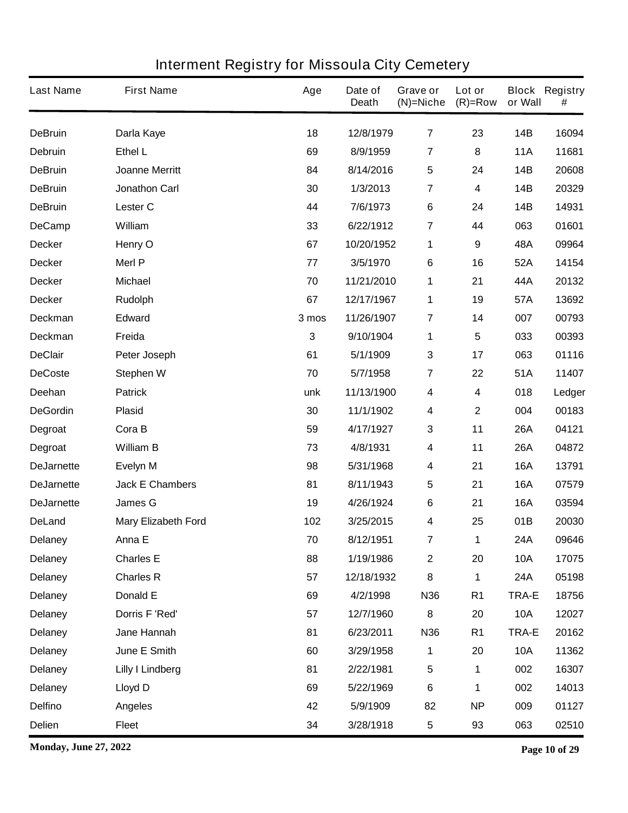| <b>Last Name</b>  | <b>First Name</b>          | Age   | Date of<br><b>Death</b> | Grave or<br>$(N)$ =Niche | Lot or<br>$(R)=Row$ | or Wall      | <b>Block Registry</b><br># |
|-------------------|----------------------------|-------|-------------------------|--------------------------|---------------------|--------------|----------------------------|
| <b>DeBruin</b>    | Darla Kaye                 | 18    | 12/8/1979               | $\overline{7}$           | 23                  | <b>14B</b>   | 16094                      |
| <b>Debruin</b>    | Ethel L                    | 69    | 8/9/1959                | 7                        | 8                   | <b>11A</b>   | 11681                      |
| <b>DeBruin</b>    | <b>Joanne Merritt</b>      | 84    | 8/14/2016               | $\overline{\mathbf{5}}$  | 24                  | 14B          | 20608                      |
| <b>DeBruin</b>    | <b>Jonathon Carl</b>       | 30    | 1/3/2013                | 7                        | 4                   | <b>14B</b>   | 20329                      |
| <b>DeBruin</b>    | Lester C                   | 44    | 7/6/1973                | $\bf 6$                  | 24                  | <b>14B</b>   | 14931                      |
| <b>DeCamp</b>     | William                    | 33    | 6/22/1912               | 7                        | 44                  | 063          | 01601                      |
| <b>Decker</b>     | Henry O                    | 67    | 10/20/1952              | 1                        | 9                   | 48A          | 09964                      |
| <b>Decker</b>     | <b>Merl P</b>              | 77    | 3/5/1970                | 6                        | 16                  | 52A          | 14154                      |
| <b>Decker</b>     | <b>Michael</b>             | 70    | 11/21/2010              | 1                        | 21                  | 44A          | 20132                      |
| <b>Decker</b>     | <b>Rudolph</b>             | 67    | 12/17/1967              | 1                        | 19                  | 57A          | 13692                      |
| <b>Deckman</b>    | <b>Edward</b>              | 3 mos | 11/26/1907              | 7                        | 14                  | 007          | 00793                      |
| <b>Deckman</b>    | Freida                     | 3     | 9/10/1904               | 1                        | 5                   | 033          | 00393                      |
| <b>DeClair</b>    | Peter Joseph               | 61    | 5/1/1909                | $\mathbf{3}$             | 17                  | 063          | 01116                      |
| <b>DeCoste</b>    | <b>Stephen W</b>           | 70    | 5/7/1958                | 7                        | 22                  | 51A          | 11407                      |
| Deehan            | <b>Patrick</b>             | unk   | 11/13/1900              | 4                        | 4                   | 018          | Ledger                     |
| <b>DeGordin</b>   | <b>Plasid</b>              | 30    | 11/1/1902               | $\boldsymbol{4}$         | $\mathbf 2$         | 004          | 00183                      |
| Degroat           | Cora B                     | 59    | 4/17/1927               | 3                        | 11                  | <b>26A</b>   | 04121                      |
| Degroat           | <b>William B</b>           | 73    | 4/8/1931                | 4                        | 11                  | <b>26A</b>   | 04872                      |
| <b>DeJarnette</b> | <b>Evelyn M</b>            | 98    | 5/31/1968               | $\boldsymbol{4}$         | 21                  | <b>16A</b>   | 13791                      |
| <b>DeJarnette</b> | <b>Jack E Chambers</b>     | 81    | 8/11/1943               | 5                        | 21                  | <b>16A</b>   | 07579                      |
| <b>DeJarnette</b> | <b>James G</b>             | 19    | 4/26/1924               | 6                        | 21                  | <b>16A</b>   | 03594                      |
| <b>DeLand</b>     | <b>Mary Elizabeth Ford</b> | 102   | 3/25/2015               | 4                        | 25                  | 01B          | 20030                      |
| <b>Delaney</b>    | Anna E                     | 70    | 8/12/1951               | 7                        | 1                   | 24A          | 09646                      |
| <b>Delaney</b>    | <b>Charles E</b>           | 88    | 1/19/1986               | $\boldsymbol{2}$         | 20                  | <b>10A</b>   | 17075                      |
| <b>Delaney</b>    | <b>Charles R</b>           | 57    | 12/18/1932              | 8                        | 1                   | 24A          | 05198                      |
| <b>Delaney</b>    | Donald E                   | 69    | 4/2/1998                | N36                      | R <sub>1</sub>      | <b>TRA-E</b> | 18756                      |
| <b>Delaney</b>    | Dorris F 'Red'             | 57    | 12/7/1960               | 8                        | 20                  | <b>10A</b>   | 12027                      |
| <b>Delaney</b>    | Jane Hannah                | 81    | 6/23/2011               | N36                      | R <sub>1</sub>      | TRA-E        | 20162                      |
| <b>Delaney</b>    | June E Smith               | 60    | 3/29/1958               | $\mathbf 1$              | 20                  | <b>10A</b>   | 11362                      |
| <b>Delaney</b>    | <b>Lilly I Lindberg</b>    | 81    | 2/22/1981               | $\sqrt{5}$               | 1                   | 002          | 16307                      |
| <b>Delaney</b>    | <b>Lloyd D</b>             | 69    | 5/22/1969               | $\bf 6$                  | 1                   | 002          | 14013                      |
| <b>Delfino</b>    | <b>Angeles</b>             | 42    | 5/9/1909                | 82                       | <b>NP</b>           | 009          | 01127                      |
| Delien            | <b>Fleet</b>               | 34    | 3/28/1918               | 5                        | 93                  | 063          | 02510                      |

**Monday, June 27, 2022 Page 10 of 29**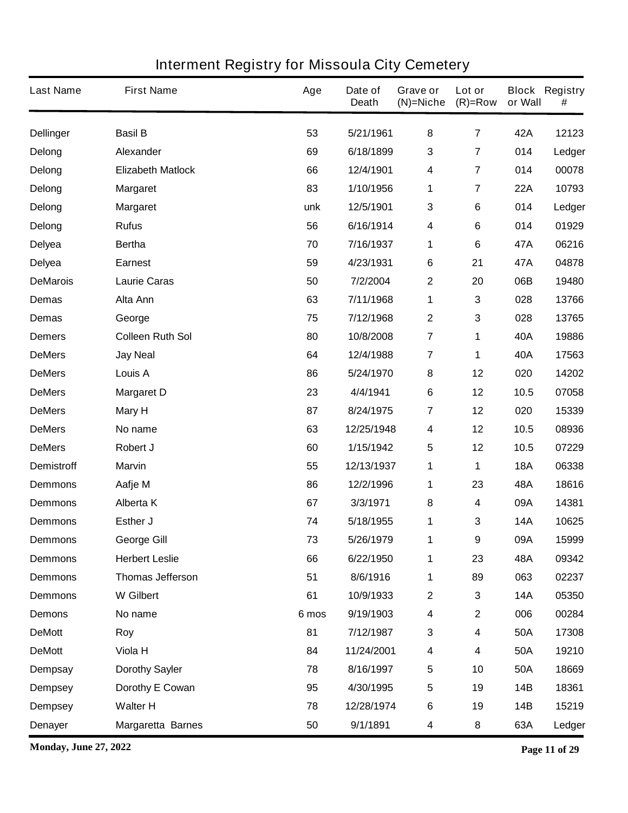| <b>Last Name</b>  | <b>First Name</b>        | Age   | Date of<br><b>Death</b> | Grave or<br>$(N)$ =Niche | Lot or<br>$(R)=Row$     | or Wall    | <b>Block Registry</b><br># |
|-------------------|--------------------------|-------|-------------------------|--------------------------|-------------------------|------------|----------------------------|
| <b>Dellinger</b>  | <b>Basil B</b>           | 53    | 5/21/1961               | 8                        | $\overline{\mathbf{7}}$ | 42A        | 12123                      |
| Delong            | Alexander                | 69    | 6/18/1899               | $\mathbf{3}$             | 7                       | 014        | Ledger                     |
| Delong            | <b>Elizabeth Matlock</b> | 66    | 12/4/1901               | $\overline{\mathbf{4}}$  | 7                       | 014        | 00078                      |
| Delong            | <b>Margaret</b>          | 83    | 1/10/1956               | 1                        | 7                       | <b>22A</b> | 10793                      |
| Delong            | <b>Margaret</b>          | unk   | 12/5/1901               | $\mathbf{3}$             | 6                       | 014        | Ledger                     |
| Delong            | <b>Rufus</b>             | 56    | 6/16/1914               | 4                        | 6                       | 014        | 01929                      |
| <b>Delyea</b>     | <b>Bertha</b>            | 70    | 7/16/1937               | 1                        | 6                       | 47A        | 06216                      |
| <b>Delyea</b>     | <b>Earnest</b>           | 59    | 4/23/1931               | 6                        | 21                      | 47A        | 04878                      |
| <b>DeMarois</b>   | <b>Laurie Caras</b>      | 50    | 7/2/2004                | $\boldsymbol{2}$         | 20                      | 06B        | 19480                      |
| <b>Demas</b>      | Alta Ann                 | 63    | 7/11/1968               | 1                        | 3                       | 028        | 13766                      |
| <b>Demas</b>      | George                   | 75    | 7/12/1968               | $\mathbf{2}$             | 3                       | 028        | 13765                      |
| <b>Demers</b>     | <b>Colleen Ruth Sol</b>  | 80    | 10/8/2008               | $\overline{7}$           | 1                       | 40A        | 19886                      |
| <b>DeMers</b>     | <b>Jay Neal</b>          | 64    | 12/4/1988               | $\overline{7}$           | 1                       | 40A        | 17563                      |
| <b>DeMers</b>     | Louis A                  | 86    | 5/24/1970               | $\bf 8$                  | 12                      | 020        | 14202                      |
| <b>DeMers</b>     | <b>Margaret D</b>        | 23    | 4/4/1941                | 6                        | 12                      | 10.5       | 07058                      |
| <b>DeMers</b>     | <b>Mary H</b>            | 87    | 8/24/1975               | 7                        | 12                      | 020        | 15339                      |
| <b>DeMers</b>     | No name                  | 63    | 12/25/1948              | 4                        | 12                      | 10.5       | 08936                      |
| <b>DeMers</b>     | Robert J                 | 60    | 1/15/1942               | $\overline{\mathbf{5}}$  | 12                      | 10.5       | 07229                      |
| <b>Demistroff</b> | <b>Marvin</b>            | 55    | 12/13/1937              | 1                        | 1                       | <b>18A</b> | 06338                      |
| <b>Demmons</b>    | Aafje M                  | 86    | 12/2/1996               | 1                        | 23                      | 48A        | 18616                      |
| <b>Demmons</b>    | <b>Alberta K</b>         | 67    | 3/3/1971                | 8                        | 4                       | 09A        | 14381                      |
| <b>Demmons</b>    | Esther J                 | 74    | 5/18/1955               | 1                        | 3                       | <b>14A</b> | 10625                      |
| <b>Demmons</b>    | <b>George Gill</b>       | 73    | 5/26/1979               | 1                        | 9                       | 09A        | 15999                      |
| <b>Demmons</b>    | <b>Herbert Leslie</b>    | 66    | 6/22/1950               | 1                        | 23                      | 48A        | 09342                      |
| <b>Demmons</b>    | <b>Thomas Jefferson</b>  | 51    | 8/6/1916                | 1                        | 89                      | 063        | 02237                      |
| <b>Demmons</b>    | <b>W</b> Gilbert         | 61    | 10/9/1933               | $\boldsymbol{2}$         | 3                       | <b>14A</b> | 05350                      |
| <b>Demons</b>     | No name                  | 6 mos | 9/19/1903               | $\overline{\mathbf{4}}$  | $\mathbf 2$             | 006        | 00284                      |
| <b>DeMott</b>     | Roy                      | 81    | 7/12/1987               | $\mathbf{3}$             | 4                       | <b>50A</b> | 17308                      |
| <b>DeMott</b>     | Viola H                  | 84    | 11/24/2001              | $\boldsymbol{4}$         | 4                       | <b>50A</b> | 19210                      |
| <b>Dempsay</b>    | <b>Dorothy Sayler</b>    | 78    | 8/16/1997               | $\overline{\mathbf{5}}$  | 10                      | <b>50A</b> | 18669                      |
| <b>Dempsey</b>    | Dorothy E Cowan          | 95    | 4/30/1995               | $\sqrt{5}$               | 19                      | 14B        | 18361                      |
| <b>Dempsey</b>    | <b>Walter H</b>          | 78    | 12/28/1974              | $\bf 6$                  | 19                      | 14B        | 15219                      |
| <b>Denayer</b>    | <b>Margaretta Barnes</b> | 50    | 9/1/1891                | 4                        | 8                       | 63A        | Ledger                     |

**Monday, June 27, 2022 Page 11 of 29**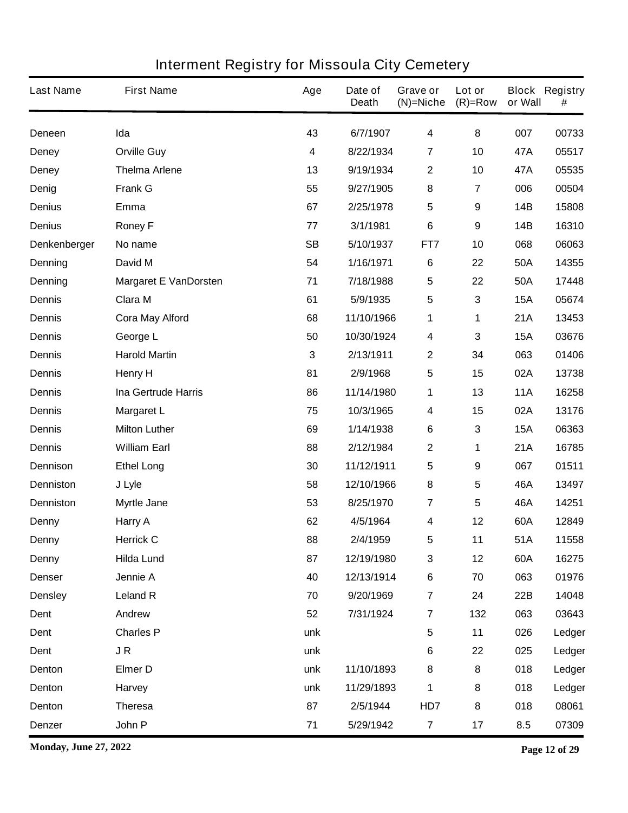| <b>Last Name</b> | <b>First Name</b>            | Age                     | Date of<br><b>Death</b> | Grave or<br>$(N)$ =Niche | Lot or<br>$(R)=Row$ | or Wall    | <b>Block Registry</b><br># |
|------------------|------------------------------|-------------------------|-------------------------|--------------------------|---------------------|------------|----------------------------|
| Deneen           | Ida                          | 43                      | 6/7/1907                | $\overline{\mathbf{4}}$  | 8                   | 007        | 00733                      |
| <b>Deney</b>     | <b>Orville Guy</b>           | $\overline{\mathbf{4}}$ | 8/22/1934               | $\overline{7}$           | 10                  | 47A        | 05517                      |
| <b>Deney</b>     | <b>Thelma Arlene</b>         | 13                      | 9/19/1934               | $\boldsymbol{2}$         | 10                  | 47A        | 05535                      |
| Denig            | <b>Frank G</b>               | 55                      | 9/27/1905               | 8                        | 7                   | 006        | 00504                      |
| <b>Denius</b>    | Emma                         | 67                      | 2/25/1978               | 5                        | 9                   | <b>14B</b> | 15808                      |
| <b>Denius</b>    | <b>Roney F</b>               | 77                      | 3/1/1981                | $6\phantom{1}$           | 9                   | <b>14B</b> | 16310                      |
| Denkenberger     | No name                      | <b>SB</b>               | 5/10/1937               | FT7                      | 10                  | 068        | 06063                      |
| Denning          | David M                      | 54                      | 1/16/1971               | $\bf 6$                  | 22                  | 50A        | 14355                      |
| Denning          | <b>Margaret E VanDorsten</b> | 71                      | 7/18/1988               | 5                        | 22                  | 50A        | 17448                      |
| <b>Dennis</b>    | <b>Clara M</b>               | 61                      | 5/9/1935                | 5                        | 3                   | <b>15A</b> | 05674                      |
| <b>Dennis</b>    | <b>Cora May Alford</b>       | 68                      | 11/10/1966              | 1                        | 1                   | 21A        | 13453                      |
| <b>Dennis</b>    | George L                     | 50                      | 10/30/1924              | 4                        | 3                   | <b>15A</b> | 03676                      |
| <b>Dennis</b>    | <b>Harold Martin</b>         | 3                       | 2/13/1911               | $\mathbf 2$              | 34                  | 063        | 01406                      |
| <b>Dennis</b>    | <b>Henry H</b>               | 81                      | 2/9/1968                | 5                        | 15                  | 02A        | 13738                      |
| <b>Dennis</b>    | <b>Ina Gertrude Harris</b>   | 86                      | 11/14/1980              | 1                        | 13                  | <b>11A</b> | 16258                      |
| <b>Dennis</b>    | <b>Margaret L</b>            | 75                      | 10/3/1965               | 4                        | 15                  | 02A        | 13176                      |
| <b>Dennis</b>    | <b>Milton Luther</b>         | 69                      | 1/14/1938               | $\bf 6$                  | 3                   | <b>15A</b> | 06363                      |
| <b>Dennis</b>    | <b>William Earl</b>          | 88                      | 2/12/1984               | $\mathbf{2}$             | 1                   | 21A        | 16785                      |
| <b>Dennison</b>  | <b>Ethel Long</b>            | 30                      | 11/12/1911              | 5                        | 9                   | 067        | 01511                      |
| <b>Denniston</b> | J Lyle                       | 58                      | 12/10/1966              | ${\bf 8}$                | 5                   | 46A        | 13497                      |
| <b>Denniston</b> | <b>Myrtle Jane</b>           | 53                      | 8/25/1970               | $\overline{7}$           | 5                   | 46A        | 14251                      |
| Denny            | Harry A                      | 62                      | 4/5/1964                | 4                        | 12                  | 60A        | 12849                      |
| <b>Denny</b>     | <b>Herrick C</b>             | 88                      | 2/4/1959                | 5                        | 11                  | 51A        | 11558                      |
| <b>Denny</b>     | <b>Hilda Lund</b>            | 87                      | 12/19/1980              | $\mathbf 3$              | 12                  | 60A        | 16275                      |
| <b>Denser</b>    | Jennie A                     | 40                      | 12/13/1914              | $\bf 6$                  | 70                  | 063        | 01976                      |
| <b>Densley</b>   | <b>Leland R</b>              | 70                      | 9/20/1969               | $\overline{\mathbf{7}}$  | 24                  | 22B        | 14048                      |
| Dent             | Andrew                       | 52                      | 7/31/1924               | $\overline{7}$           | 132                 | 063        | 03643                      |
| Dent             | <b>Charles P</b>             | unk                     |                         | $\sqrt{5}$               | 11                  | 026        | Ledger                     |
| Dent             | JR                           | unk                     |                         | $\bf 6$                  | 22                  | 025        | Ledger                     |
| Denton           | <b>Elmer D</b>               | unk                     | 11/10/1893              | 8                        | 8                   | 018        | Ledger                     |
| Denton           | Harvey                       | unk                     | 11/29/1893              | 1                        | 8                   | 018        | Ledger                     |
| Denton           | <b>Theresa</b>               | 87                      | 2/5/1944                | HD7                      | 8                   | 018        | 08061                      |
| <b>Denzer</b>    | John P                       | 71                      | 5/29/1942               | $\overline{7}$           | 17                  | 8.5        | 07309                      |

**Monday, June 27, 2022 Page 12 of 29**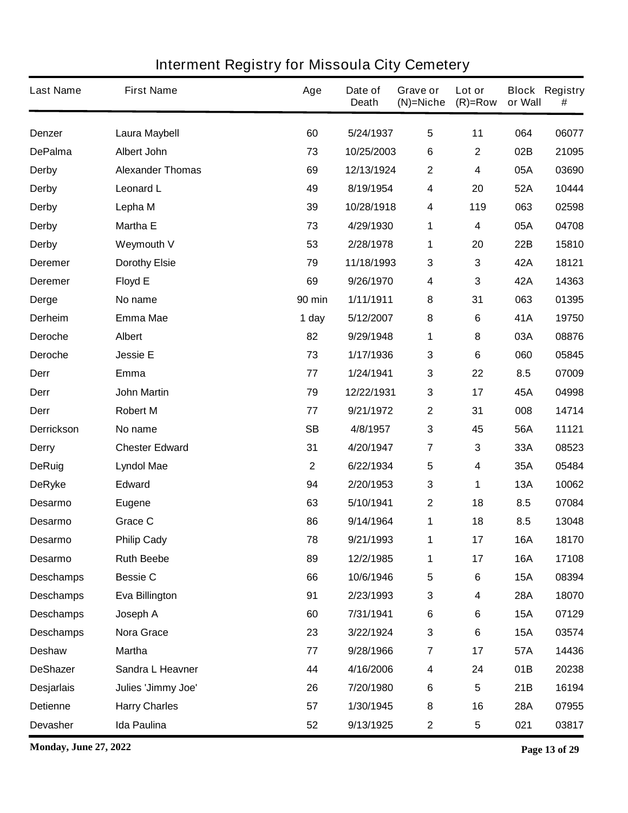| <b>Last Name</b>  | <b>First Name</b>       | Age           | Date of<br><b>Death</b> | Grave or<br>$(N)$ =Niche | Lot or<br>$(R)=Row$ | or Wall    | <b>Block Registry</b><br># |
|-------------------|-------------------------|---------------|-------------------------|--------------------------|---------------------|------------|----------------------------|
| <b>Denzer</b>     | Laura Maybell           | 60            | 5/24/1937               | $\overline{\mathbf{5}}$  | 11                  | 064        | 06077                      |
| <b>DePalma</b>    | <b>Albert John</b>      | 73            | 10/25/2003              | 6                        | $\mathbf 2$         | 02B        | 21095                      |
| <b>Derby</b>      | <b>Alexander Thomas</b> | 69            | 12/13/1924              | $\boldsymbol{2}$         | 4                   | 05A        | 03690                      |
| <b>Derby</b>      | <b>Leonard L</b>        | 49            | 8/19/1954               | $\overline{\mathbf{4}}$  | 20                  | 52A        | 10444                      |
| <b>Derby</b>      | Lepha M                 | 39            | 10/28/1918              | $\boldsymbol{4}$         | 119                 | 063        | 02598                      |
| <b>Derby</b>      | <b>Martha E</b>         | 73            | 4/29/1930               | 1                        | 4                   | 05A        | 04708                      |
| <b>Derby</b>      | <b>Weymouth V</b>       | 53            | 2/28/1978               | 1                        | 20                  | 22B        | 15810                      |
| <b>Deremer</b>    | <b>Dorothy Elsie</b>    | 79            | 11/18/1993              | $\mathbf 3$              | 3                   | 42A        | 18121                      |
| <b>Deremer</b>    | <b>Floyd E</b>          | 69            | 9/26/1970               | $\boldsymbol{4}$         | 3                   | 42A        | 14363                      |
| <b>Derge</b>      | No name                 | <b>90 min</b> | 1/11/1911               | 8                        | 31                  | 063        | 01395                      |
| <b>Derheim</b>    | <b>Emma Mae</b>         | 1 day         | 5/12/2007               | 8                        | 6                   | 41A        | 19750                      |
| Deroche           | <b>Albert</b>           | 82            | 9/29/1948               | 1                        | 8                   | 03A        | 08876                      |
| <b>Deroche</b>    | <b>Jessie E</b>         | 73            | 1/17/1936               | $\mathbf{3}$             | 6                   | 060        | 05845                      |
| Derr              | Emma                    | 77            | 1/24/1941               | $\mathbf 3$              | 22                  | 8.5        | 07009                      |
| Derr              | <b>John Martin</b>      | 79            | 12/22/1931              | $\mathbf 3$              | 17                  | 45A        | 04998                      |
| Derr              | <b>Robert M</b>         | 77            | 9/21/1972               | $\boldsymbol{2}$         | 31                  | 008        | 14714                      |
| <b>Derrickson</b> | No name                 | <b>SB</b>     | 4/8/1957                | $\mathbf{3}$             | 45                  | 56A        | 11121                      |
| <b>Derry</b>      | <b>Chester Edward</b>   | 31            | 4/20/1947               | $\overline{7}$           | 3                   | 33A        | 08523                      |
| <b>DeRuig</b>     | <b>Lyndol Mae</b>       | $\mathbf 2$   | 6/22/1934               | 5                        | 4                   | 35A        | 05484                      |
| <b>DeRyke</b>     | <b>Edward</b>           | 94            | 2/20/1953               | $\mathbf{3}$             | 1                   | <b>13A</b> | 10062                      |
| <b>Desarmo</b>    | <b>Eugene</b>           | 63            | 5/10/1941               | $\boldsymbol{2}$         | 18                  | 8.5        | 07084                      |
| <b>Desarmo</b>    | <b>Grace C</b>          | 86            | 9/14/1964               | 1                        | 18                  | 8.5        | 13048                      |
| <b>Desarmo</b>    | <b>Philip Cady</b>      | 78            | 9/21/1993               | 1                        | 17                  | 16A        | 18170                      |
| Desarmo           | <b>Ruth Beebe</b>       | 89            | 12/2/1985               | 1                        | 17                  | <b>16A</b> | 17108                      |
| <b>Deschamps</b>  | <b>Bessie C</b>         | 66            | 10/6/1946               | $\sqrt{5}$               | 6                   | <b>15A</b> | 08394                      |
| <b>Deschamps</b>  | Eva Billington          | 91            | 2/23/1993               | $\mathbf 3$              | 4                   | 28A        | 18070                      |
| <b>Deschamps</b>  | Joseph A                | 60            | 7/31/1941               | $\bf 6$                  | 6                   | <b>15A</b> | 07129                      |
| <b>Deschamps</b>  | Nora Grace              | 23            | 3/22/1924               | $\mathbf{3}$             | 6                   | <b>15A</b> | 03574                      |
| <b>Deshaw</b>     | <b>Martha</b>           | 77            | 9/28/1966               | $\overline{7}$           | 17                  | 57A        | 14436                      |
| <b>DeShazer</b>   | Sandra L Heavner        | 44            | 4/16/2006               | 4                        | 24                  | 01B        | 20238                      |
| <b>Desjarlais</b> | Julies 'Jimmy Joe'      | 26            | 7/20/1980               | $\bf 6$                  | 5                   | 21B        | 16194                      |
| <b>Detienne</b>   | <b>Harry Charles</b>    | 57            | 1/30/1945               | 8                        | 16                  | <b>28A</b> | 07955                      |
| <b>Devasher</b>   | Ida Paulina             | 52            | 9/13/1925               | $\mathbf 2$              | 5                   | 021        | 03817                      |

**Monday, June 27, 2022 Page 13 of 29**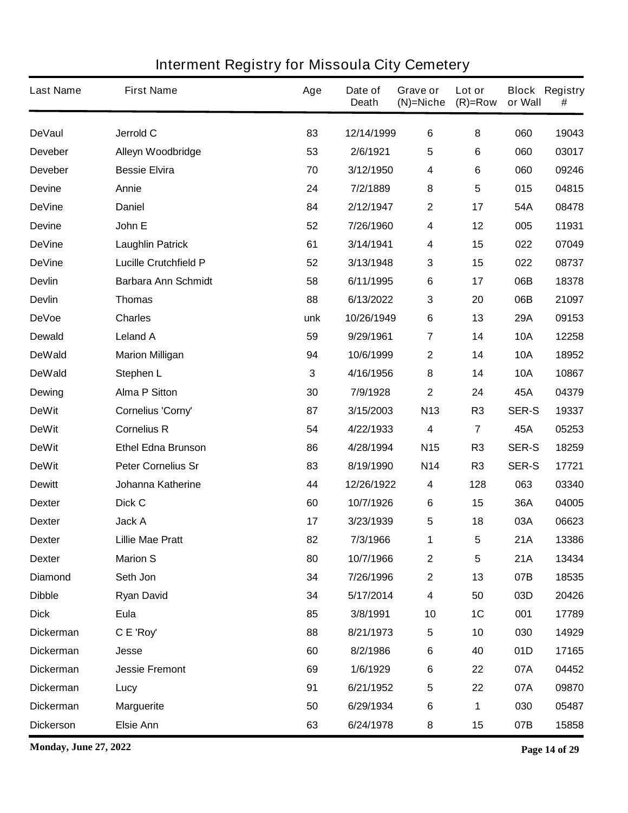| <b>Last Name</b> | <b>First Name</b>            | Age | Date of<br><b>Death</b> | Grave or<br>$(N)$ =Niche | Lot or<br>$(R)=Row$ | or Wall      | <b>Block Registry</b><br># |
|------------------|------------------------------|-----|-------------------------|--------------------------|---------------------|--------------|----------------------------|
| <b>DeVaul</b>    | Jerrold C                    | 83  | 12/14/1999              | $\bf 6$                  | 8                   | 060          | 19043                      |
| <b>Deveber</b>   | Alleyn Woodbridge            | 53  | 2/6/1921                | 5                        | 6                   | 060          | 03017                      |
| <b>Deveber</b>   | <b>Bessie Elvira</b>         | 70  | 3/12/1950               | 4                        | 6                   | 060          | 09246                      |
| <b>Devine</b>    | Annie                        | 24  | 7/2/1889                | 8                        | 5                   | 015          | 04815                      |
| <b>DeVine</b>    | <b>Daniel</b>                | 84  | 2/12/1947               | $\mathbf 2$              | 17                  | 54A          | 08478                      |
| <b>Devine</b>    | John E                       | 52  | 7/26/1960               | 4                        | 12                  | 005          | 11931                      |
| <b>DeVine</b>    | <b>Laughlin Patrick</b>      | 61  | 3/14/1941               | 4                        | 15                  | 022          | 07049                      |
| <b>DeVine</b>    | <b>Lucille Crutchfield P</b> | 52  | 3/13/1948               | 3                        | 15                  | 022          | 08737                      |
| <b>Devlin</b>    | <b>Barbara Ann Schmidt</b>   | 58  | 6/11/1995               | $\bf 6$                  | 17                  | 06B          | 18378                      |
| <b>Devlin</b>    | <b>Thomas</b>                | 88  | 6/13/2022               | 3                        | 20                  | 06B          | 21097                      |
| <b>DeVoe</b>     | <b>Charles</b>               | unk | 10/26/1949              | $\bf 6$                  | 13                  | 29A          | 09153                      |
| <b>Dewald</b>    | <b>Leland A</b>              | 59  | 9/29/1961               | $\overline{7}$           | 14                  | <b>10A</b>   | 12258                      |
| <b>DeWald</b>    | <b>Marion Milligan</b>       | 94  | 10/6/1999               | $\boldsymbol{2}$         | 14                  | <b>10A</b>   | 18952                      |
| <b>DeWald</b>    | Stephen L                    | 3   | 4/16/1956               | 8                        | 14                  | <b>10A</b>   | 10867                      |
| <b>Dewing</b>    | <b>Alma P Sitton</b>         | 30  | 7/9/1928                | $\mathbf 2$              | 24                  | 45A          | 04379                      |
| <b>DeWit</b>     | Cornelius 'Corny'            | 87  | 3/15/2003               | N <sub>13</sub>          | R <sub>3</sub>      | <b>SER-S</b> | 19337                      |
| <b>DeWit</b>     | <b>Cornelius R</b>           | 54  | 4/22/1933               | 4                        | 7                   | 45A          | 05253                      |
| <b>DeWit</b>     | <b>Ethel Edna Brunson</b>    | 86  | 4/28/1994               | <b>N15</b>               | R <sub>3</sub>      | <b>SER-S</b> | 18259                      |
| <b>DeWit</b>     | <b>Peter Cornelius Sr</b>    | 83  | 8/19/1990               | <b>N14</b>               | R <sub>3</sub>      | <b>SER-S</b> | 17721                      |
| <b>Dewitt</b>    | <b>Johanna Katherine</b>     | 44  | 12/26/1922              | 4                        | 128                 | 063          | 03340                      |
| <b>Dexter</b>    | Dick C                       | 60  | 10/7/1926               | 6                        | 15                  | 36A          | 04005                      |
| <b>Dexter</b>    | <b>Jack A</b>                | 17  | 3/23/1939               | 5                        | 18                  | 03A          | 06623                      |
| <b>Dexter</b>    | <b>Lillie Mae Pratt</b>      | 82  | 7/3/1966                | 1                        | 5                   | 21A          | 13386                      |
| <b>Dexter</b>    | <b>Marion S</b>              | 80  | 10/7/1966               | $\boldsymbol{2}$         | 5                   | 21A          | 13434                      |
| <b>Diamond</b>   | Seth Jon                     | 34  | 7/26/1996               | $\mathbf 2$              | 13                  | 07B          | 18535                      |
| <b>Dibble</b>    | <b>Ryan David</b>            | 34  | 5/17/2014               | 4                        | 50                  | 03D          | 20426                      |
| <b>Dick</b>      | Eula                         | 85  | 3/8/1991                | 10                       | 1C                  | 001          | 17789                      |
| <b>Dickerman</b> | C E 'Roy'                    | 88  | 8/21/1973               | 5                        | 10                  | 030          | 14929                      |
| <b>Dickerman</b> | <b>Jesse</b>                 | 60  | 8/2/1986                | $\bf 6$                  | 40                  | 01D          | 17165                      |
| <b>Dickerman</b> | <b>Jessie Fremont</b>        | 69  | 1/6/1929                | $\bf 6$                  | 22                  | 07A          | 04452                      |
| <b>Dickerman</b> | Lucy                         | 91  | 6/21/1952               | $\overline{\mathbf{5}}$  | 22                  | 07A          | 09870                      |
| <b>Dickerman</b> | <b>Marguerite</b>            | 50  | 6/29/1934               | $\bf 6$                  | 1                   | 030          | 05487                      |
| <b>Dickerson</b> | <b>Elsie Ann</b>             | 63  | 6/24/1978               | 8                        | 15                  | 07B          | 15858                      |

**Monday, June 27, 2022 Page 14 of 29**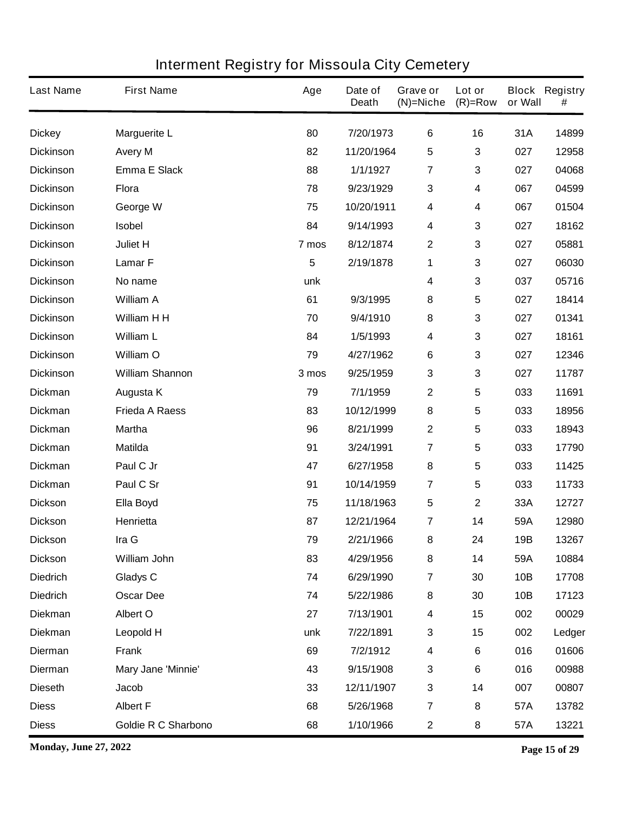| <b>Last Name</b> | <b>First Name</b>      | Age   | Date of<br><b>Death</b> | Grave or<br>$(N)$ =Niche | Lot or<br>$(R)=Row$ | or Wall | <b>Block Registry</b><br># |
|------------------|------------------------|-------|-------------------------|--------------------------|---------------------|---------|----------------------------|
| <b>Dickey</b>    | <b>Marguerite L</b>    | 80    | 7/20/1973               | 6                        | 16                  | 31A     | 14899                      |
| <b>Dickinson</b> | <b>Avery M</b>         | 82    | 11/20/1964              | $5\phantom{.0}$          | 3                   | 027     | 12958                      |
| <b>Dickinson</b> | <b>Emma E Slack</b>    | 88    | 1/1/1927                | $\overline{7}$           | 3                   | 027     | 04068                      |
| <b>Dickinson</b> | <b>Flora</b>           | 78    | 9/23/1929               | $\mathbf 3$              | 4                   | 067     | 04599                      |
| <b>Dickinson</b> | George W               | 75    | 10/20/1911              | $\boldsymbol{4}$         | 4                   | 067     | 01504                      |
| <b>Dickinson</b> | <b>Isobel</b>          | 84    | 9/14/1993               | $\boldsymbol{4}$         | 3                   | 027     | 18162                      |
| <b>Dickinson</b> | Juliet H               | 7 mos | 8/12/1874               | $\boldsymbol{2}$         | 3                   | 027     | 05881                      |
| <b>Dickinson</b> | <b>LamarF</b>          | 5     | 2/19/1878               | 1                        | 3                   | 027     | 06030                      |
| <b>Dickinson</b> | No name                | unk   |                         | 4                        | 3                   | 037     | 05716                      |
| <b>Dickinson</b> | <b>William A</b>       | 61    | 9/3/1995                | 8                        | 5                   | 027     | 18414                      |
| <b>Dickinson</b> | William H H            | 70    | 9/4/1910                | 8                        | 3                   | 027     | 01341                      |
| <b>Dickinson</b> | <b>William L</b>       | 84    | 1/5/1993                | $\boldsymbol{4}$         | 3                   | 027     | 18161                      |
| <b>Dickinson</b> | William O              | 79    | 4/27/1962               | 6                        | 3                   | 027     | 12346                      |
| <b>Dickinson</b> | <b>William Shannon</b> | 3 mos | 9/25/1959               | $\mathbf{3}$             | 3                   | 027     | 11787                      |
| <b>Dickman</b>   | Augusta K              | 79    | 7/1/1959                | $\mathbf{2}$             | 5                   | 033     | 11691                      |
| <b>Dickman</b>   | <b>Frieda A Raess</b>  | 83    | 10/12/1999              | 8                        | 5                   | 033     | 18956                      |
| <b>Dickman</b>   | <b>Martha</b>          | 96    | 8/21/1999               | $\boldsymbol{2}$         | 5                   | 033     | 18943                      |
| <b>Dickman</b>   | <b>Matilda</b>         | 91    | 3/24/1991               | $\overline{7}$           | 5                   | 033     | 17790                      |
| <b>Dickman</b>   | Paul C Jr              | 47    | 6/27/1958               | 8                        | 5                   | 033     | 11425                      |
| <b>Dickman</b>   | Paul C Sr              | 91    | 10/14/1959              | 7                        | 5                   | 033     | 11733                      |
| <b>Dickson</b>   | Ella Boyd              | 75    | 11/18/1963              | $\sqrt{5}$               | $\mathbf 2$         | 33A     | 12727                      |
| <b>Dickson</b>   | Henrietta              | 87    | 12/21/1964              | 7                        | 14                  | 59A     | 12980                      |
| <b>Dickson</b>   | Ira G                  | 79    | 2/21/1966               | 8                        | 24                  | 19B     | 13267                      |
| <b>Dickson</b>   | William John           | 83    | 4/29/1956               | 8                        | 14                  | 59A     | 10884                      |
| <b>Diedrich</b>  | <b>Gladys C</b>        | 74    | 6/29/1990               | $\overline{7}$           | 30                  | 10B     | 17708                      |
| <b>Diedrich</b>  | <b>Oscar Dee</b>       | 74    | 5/22/1986               | 8                        | 30                  | 10B     | 17123                      |
| <b>Diekman</b>   | Albert O               | 27    | 7/13/1901               | 4                        | 15                  | 002     | 00029                      |
| <b>Diekman</b>   | <b>Leopold H</b>       | unk   | 7/22/1891               | $\mathbf 3$              | 15                  | 002     | Ledger                     |
| <b>Dierman</b>   | <b>Frank</b>           | 69    | 7/2/1912                | $\overline{\mathbf{4}}$  | 6                   | 016     | 01606                      |
| <b>Dierman</b>   | Mary Jane 'Minnie'     | 43    | 9/15/1908               | $\mathbf{3}$             | 6                   | 016     | 00988                      |
| <b>Dieseth</b>   | Jacob                  | 33    | 12/11/1907              | $\mathbf{3}$             | 14                  | 007     | 00807                      |
| <b>Diess</b>     | <b>Albert F</b>        | 68    | 5/26/1968               | $\overline{\mathbf{r}}$  | 8                   | 57A     | 13782                      |
| <b>Diess</b>     | Goldie R C Sharbono    | 68    | 1/10/1966               | $\boldsymbol{2}$         | 8                   | 57A     | 13221                      |

**Monday, June 27, 2022 Page 15 of 29**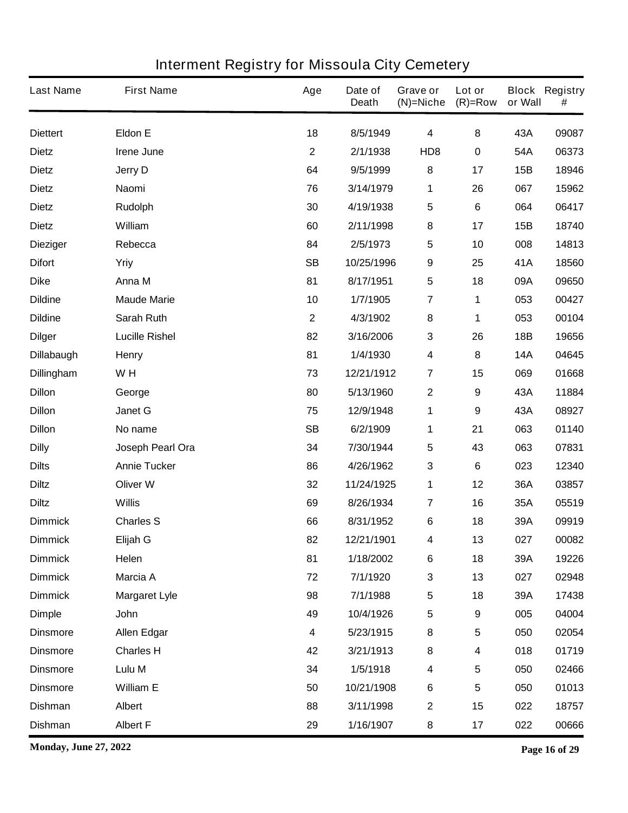| <b>Last Name</b>  | <b>First Name</b>     | Age              | Date of<br><b>Death</b> | Grave or<br>$(N)$ =Niche | Lot or<br>$(R)=Row$ | or Wall    | <b>Block Registry</b><br># |
|-------------------|-----------------------|------------------|-------------------------|--------------------------|---------------------|------------|----------------------------|
| <b>Diettert</b>   | <b>Eldon E</b>        | 18               | 8/5/1949                | 4                        | 8                   | 43A        | 09087                      |
| <b>Dietz</b>      | <b>Irene June</b>     | $\mathbf{2}$     | 2/1/1938                | HD <sub>8</sub>          | $\pmb{0}$           | 54A        | 06373                      |
| <b>Dietz</b>      | <b>Jerry D</b>        | 64               | 9/5/1999                | 8                        | 17                  | 15B        | 18946                      |
| <b>Dietz</b>      | Naomi                 | 76               | 3/14/1979               | 1                        | 26                  | 067        | 15962                      |
| <b>Dietz</b>      | <b>Rudolph</b>        | 30               | 4/19/1938               | 5                        | 6                   | 064        | 06417                      |
| <b>Dietz</b>      | William               | 60               | 2/11/1998               | ${\bf 8}$                | 17                  | 15B        | 18740                      |
| <b>Dieziger</b>   | Rebecca               | 84               | 2/5/1973                | 5                        | 10                  | 008        | 14813                      |
| <b>Difort</b>     | Yriy                  | <b>SB</b>        | 10/25/1996              | $\boldsymbol{9}$         | 25                  | 41A        | 18560                      |
| <b>Dike</b>       | Anna M                | 81               | 8/17/1951               | 5                        | 18                  | 09A        | 09650                      |
| <b>Dildine</b>    | <b>Maude Marie</b>    | 10               | 1/7/1905                | $\overline{7}$           | 1                   | 053        | 00427                      |
| <b>Dildine</b>    | <b>Sarah Ruth</b>     | $\mathbf{2}$     | 4/3/1902                | ${\bf 8}$                | 1                   | 053        | 00104                      |
| <b>Dilger</b>     | <b>Lucille Rishel</b> | 82               | 3/16/2006               | $\mathbf 3$              | 26                  | 18B        | 19656                      |
| <b>Dillabaugh</b> | <b>Henry</b>          | 81               | 1/4/1930                | 4                        | 8                   | <b>14A</b> | 04645                      |
| <b>Dillingham</b> | W H                   | 73               | 12/21/1912              | $\overline{7}$           | 15                  | 069        | 01668                      |
| <b>Dillon</b>     | George                | 80               | 5/13/1960               | $\mathbf 2$              | 9                   | 43A        | 11884                      |
| <b>Dillon</b>     | Janet G               | 75               | 12/9/1948               | 1                        | 9                   | 43A        | 08927                      |
| <b>Dillon</b>     | No name               | <b>SB</b>        | 6/2/1909                | 1                        | 21                  | 063        | 01140                      |
| <b>Dilly</b>      | Joseph Pearl Ora      | 34               | 7/30/1944               | 5                        | 43                  | 063        | 07831                      |
| <b>Dilts</b>      | <b>Annie Tucker</b>   | 86               | 4/26/1962               | 3                        | 6                   | 023        | 12340                      |
| <b>Diltz</b>      | <b>Oliver W</b>       | 32               | 11/24/1925              | 1                        | 12                  | 36A        | 03857                      |
| <b>Diltz</b>      | <b>Willis</b>         | 69               | 8/26/1934               | $\overline{7}$           | 16                  | 35A        | 05519                      |
| <b>Dimmick</b>    | <b>Charles S</b>      | 66               | 8/31/1952               | 6                        | 18                  | 39A        | 09919                      |
| <b>Dimmick</b>    | Elijah G              | 82               | 12/21/1901              | 4                        | 13                  | 027        | 00082                      |
| <b>Dimmick</b>    | Helen                 | 81               | 1/18/2002               | $\bf 6$                  | 18                  | 39A        | 19226                      |
| <b>Dimmick</b>    | <b>Marcia A</b>       | 72               | 7/1/1920                | $\mathbf 3$              | 13                  | 027        | 02948                      |
| <b>Dimmick</b>    | <b>Margaret Lyle</b>  | 98               | 7/1/1988                | $\sqrt{5}$               | 18                  | 39A        | 17438                      |
| <b>Dimple</b>     | John                  | 49               | 10/4/1926               | $\overline{\mathbf{5}}$  | 9                   | 005        | 04004                      |
| <b>Dinsmore</b>   | <b>Allen Edgar</b>    | $\boldsymbol{4}$ | 5/23/1915               | 8                        | 5                   | 050        | 02054                      |
| <b>Dinsmore</b>   | <b>Charles H</b>      | 42               | 3/21/1913               | 8                        | 4                   | 018        | 01719                      |
| <b>Dinsmore</b>   | Lulu M                | 34               | 1/5/1918                | $\overline{\mathbf{4}}$  | 5                   | 050        | 02466                      |
| <b>Dinsmore</b>   | <b>William E</b>      | 50               | 10/21/1908              | $\bf 6$                  | 5                   | 050        | 01013                      |
| <b>Dishman</b>    | <b>Albert</b>         | 88               | 3/11/1998               | $\mathbf 2$              | 15                  | 022        | 18757                      |
| <b>Dishman</b>    | <b>Albert F</b>       | 29               | 1/16/1907               | 8                        | 17                  | 022        | 00666                      |

**Monday, June 27, 2022 Page 16 of 29**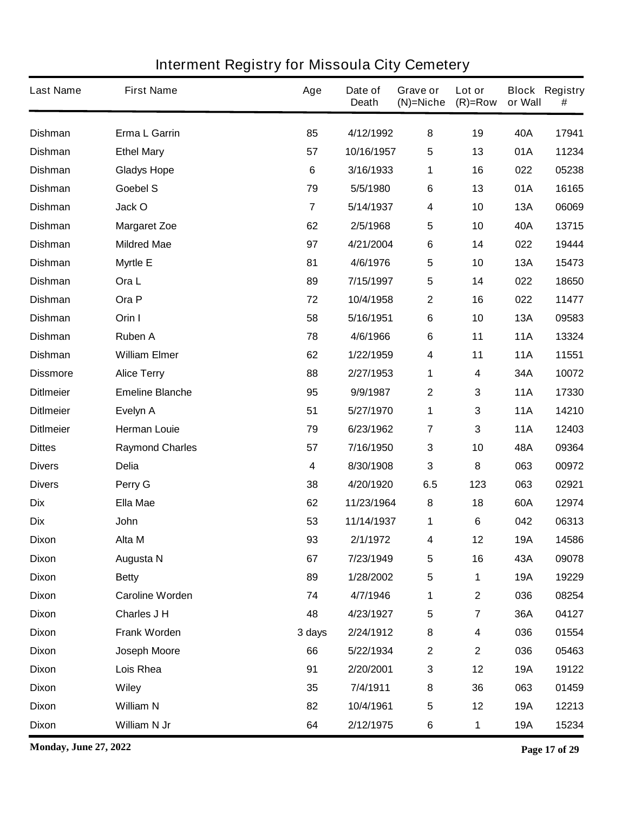| <b>Last Name</b> | <b>First Name</b>      | Age            | Date of<br><b>Death</b> | Grave or<br>$(N)$ =Niche | Lot or<br>$(R)=Row$     | or Wall    | <b>Block Registry</b><br># |
|------------------|------------------------|----------------|-------------------------|--------------------------|-------------------------|------------|----------------------------|
| <b>Dishman</b>   | Erma L Garrin          | 85             | 4/12/1992               | 8                        | 19                      | 40A        | 17941                      |
| <b>Dishman</b>   | <b>Ethel Mary</b>      | 57             | 10/16/1957              | $\sqrt{5}$               | 13                      | 01A        | 11234                      |
| <b>Dishman</b>   | <b>Gladys Hope</b>     | 6              | 3/16/1933               | 1                        | 16                      | 022        | 05238                      |
| <b>Dishman</b>   | Goebel S               | 79             | 5/5/1980                | 6                        | 13                      | 01A        | 16165                      |
| <b>Dishman</b>   | Jack O                 | $\overline{7}$ | 5/14/1937               | $\overline{\mathbf{4}}$  | 10                      | <b>13A</b> | 06069                      |
| <b>Dishman</b>   | <b>Margaret Zoe</b>    | 62             | 2/5/1968                | $\sqrt{5}$               | 10                      | 40A        | 13715                      |
| <b>Dishman</b>   | <b>Mildred Mae</b>     | 97             | 4/21/2004               | 6                        | 14                      | 022        | 19444                      |
| <b>Dishman</b>   | <b>Myrtle E</b>        | 81             | 4/6/1976                | $\sqrt{5}$               | 10                      | <b>13A</b> | 15473                      |
| <b>Dishman</b>   | Ora L                  | 89             | 7/15/1997               | $\overline{\mathbf{5}}$  | 14                      | 022        | 18650                      |
| <b>Dishman</b>   | Ora P                  | 72             | 10/4/1958               | $\boldsymbol{2}$         | 16                      | 022        | 11477                      |
| <b>Dishman</b>   | Orin I                 | 58             | 5/16/1951               | 6                        | 10                      | <b>13A</b> | 09583                      |
| <b>Dishman</b>   | <b>Ruben A</b>         | 78             | 4/6/1966                | $\bf 6$                  | 11                      | <b>11A</b> | 13324                      |
| <b>Dishman</b>   | <b>William Elmer</b>   | 62             | 1/22/1959               | $\overline{\mathbf{4}}$  | 11                      | <b>11A</b> | 11551                      |
| <b>Dissmore</b>  | <b>Alice Terry</b>     | 88             | 2/27/1953               | 1                        | 4                       | 34A        | 10072                      |
| <b>DitImeier</b> | <b>Emeline Blanche</b> | 95             | 9/9/1987                | $\mathbf{2}$             | 3                       | <b>11A</b> | 17330                      |
| <b>DitImeier</b> | Evelyn A               | 51             | 5/27/1970               | 1                        | 3                       | <b>11A</b> | 14210                      |
| <b>DitImeier</b> | <b>Herman Louie</b>    | 79             | 6/23/1962               | $\overline{7}$           | 3                       | <b>11A</b> | 12403                      |
| <b>Dittes</b>    | <b>Raymond Charles</b> | 57             | 7/16/1950               | $\mathbf 3$              | 10                      | 48A        | 09364                      |
| <b>Divers</b>    | <b>Delia</b>           | 4              | 8/30/1908               | $\mathbf{3}$             | 8                       | 063        | 00972                      |
| <b>Divers</b>    | Perry G                | 38             | 4/20/1920               | 6.5                      | 123                     | 063        | 02921                      |
| <b>Dix</b>       | <b>Ella Mae</b>        | 62             | 11/23/1964              | 8                        | 18                      | 60A        | 12974                      |
| <b>Dix</b>       | <b>John</b>            | 53             | 11/14/1937              | 1                        | 6                       | 042        | 06313                      |
| <b>Dixon</b>     | Alta M                 | 93             | 2/1/1972                | 4                        | 12                      | <b>19A</b> | 14586                      |
| <b>Dixon</b>     | <b>Augusta N</b>       | 67             | 7/23/1949               | $\sqrt{5}$               | 16                      | 43A        | 09078                      |
| <b>Dixon</b>     | <b>Betty</b>           | 89             | 1/28/2002               | ${\bf 5}$                | 1                       | <b>19A</b> | 19229                      |
| <b>Dixon</b>     | <b>Caroline Worden</b> | 74             | 4/7/1946                | 1                        | $\mathbf 2$             | 036        | 08254                      |
| <b>Dixon</b>     | Charles J H            | 48             | 4/23/1927               | $\sqrt{5}$               | $\overline{\mathbf{7}}$ | 36A        | 04127                      |
| <b>Dixon</b>     | Frank Worden           | 3 days         | 2/24/1912               | $\bf 8$                  | 4                       | 036        | 01554                      |
| <b>Dixon</b>     | Joseph Moore           | 66             | 5/22/1934               | $\boldsymbol{2}$         | $\mathbf 2$             | 036        | 05463                      |
| <b>Dixon</b>     | Lois Rhea              | 91             | 2/20/2001               | $\mathbf{3}$             | 12                      | <b>19A</b> | 19122                      |
| <b>Dixon</b>     | <b>Wiley</b>           | 35             | 7/4/1911                | $\bf 8$                  | 36                      | 063        | 01459                      |
| <b>Dixon</b>     | <b>William N</b>       | 82             | 10/4/1961               | $\sqrt{5}$               | 12                      | <b>19A</b> | 12213                      |
| <b>Dixon</b>     | William N Jr           | 64             | 2/12/1975               | $\bf 6$                  | 1                       | <b>19A</b> | 15234                      |

**Monday, June 27, 2022 Page 17 of 29**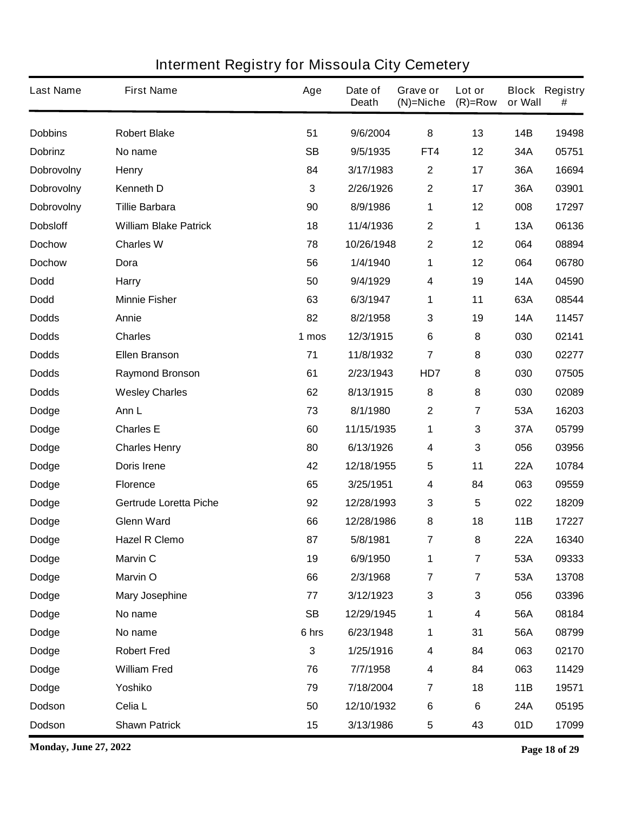| <b>Last Name</b>  | <b>First Name</b>             | Age       | Date of<br><b>Death</b> | Grave or<br>$(N)$ =Niche | Lot or<br>$(R)=Row$     | or Wall    | <b>Block Registry</b><br># |
|-------------------|-------------------------------|-----------|-------------------------|--------------------------|-------------------------|------------|----------------------------|
| <b>Dobbins</b>    | <b>Robert Blake</b>           | 51        | 9/6/2004                | 8                        | 13                      | <b>14B</b> | 19498                      |
| <b>Dobrinz</b>    | No name                       | <b>SB</b> | 9/5/1935                | FT4                      | 12                      | 34A        | 05751                      |
| <b>Dobrovolny</b> | <b>Henry</b>                  | 84        | 3/17/1983               | $\mathbf{2}$             | 17                      | 36A        | 16694                      |
| <b>Dobrovolny</b> | <b>Kenneth D</b>              | 3         | 2/26/1926               | $\mathbf 2$              | 17                      | 36A        | 03901                      |
| <b>Dobrovolny</b> | <b>Tillie Barbara</b>         | 90        | 8/9/1986                | 1                        | 12                      | 008        | 17297                      |
| <b>Dobsloff</b>   | <b>William Blake Patrick</b>  | 18        | 11/4/1936               | $\boldsymbol{2}$         | 1                       | <b>13A</b> | 06136                      |
| <b>Dochow</b>     | <b>Charles W</b>              | 78        | 10/26/1948              | $\boldsymbol{2}$         | 12                      | 064        | 08894                      |
| <b>Dochow</b>     | Dora                          | 56        | 1/4/1940                | 1                        | 12                      | 064        | 06780                      |
| <b>Dodd</b>       | Harry                         | 50        | 9/4/1929                | 4                        | 19                      | <b>14A</b> | 04590                      |
| <b>Dodd</b>       | <b>Minnie Fisher</b>          | 63        | 6/3/1947                | 1                        | 11                      | 63A        | 08544                      |
| <b>Dodds</b>      | Annie                         | 82        | 8/2/1958                | 3                        | 19                      | <b>14A</b> | 11457                      |
| <b>Dodds</b>      | <b>Charles</b>                | 1 mos     | 12/3/1915               | $\bf 6$                  | 8                       | 030        | 02141                      |
| <b>Dodds</b>      | <b>Ellen Branson</b>          | 71        | 11/8/1932               | 7                        | 8                       | 030        | 02277                      |
| <b>Dodds</b>      | <b>Raymond Bronson</b>        | 61        | 2/23/1943               | HD7                      | 8                       | 030        | 07505                      |
| <b>Dodds</b>      | <b>Wesley Charles</b>         | 62        | 8/13/1915               | 8                        | 8                       | 030        | 02089                      |
| <b>Dodge</b>      | Ann L                         | 73        | 8/1/1980                | $\mathbf 2$              | 7                       | 53A        | 16203                      |
| <b>Dodge</b>      | <b>Charles E</b>              | 60        | 11/15/1935              | 1                        | 3                       | 37A        | 05799                      |
| <b>Dodge</b>      | <b>Charles Henry</b>          | 80        | 6/13/1926               | 4                        | 3                       | 056        | 03956                      |
| <b>Dodge</b>      | Doris Irene                   | 42        | 12/18/1955              | 5                        | 11                      | <b>22A</b> | 10784                      |
| <b>Dodge</b>      | <b>Florence</b>               | 65        | 3/25/1951               | 4                        | 84                      | 063        | 09559                      |
| <b>Dodge</b>      | <b>Gertrude Loretta Piche</b> | 92        | 12/28/1993              | 3                        | 5                       | 022        | 18209                      |
| Dodge             | <b>Glenn Ward</b>             | 66        | 12/28/1986              | 8                        | 18                      | 11B        | 17227                      |
| <b>Dodge</b>      | <b>Hazel R Clemo</b>          | 87        | 5/8/1981                | 7                        | 8                       | 22A        | 16340                      |
| Dodge             | <b>Marvin C</b>               | 19        | 6/9/1950                | 1                        | 7                       | 53A        | 09333                      |
| <b>Dodge</b>      | <b>Marvin O</b>               | 66        | 2/3/1968                | $\overline{7}$           | $\overline{\mathbf{7}}$ | 53A        | 13708                      |
| Dodge             | <b>Mary Josephine</b>         | 77        | 3/12/1923               | 3                        | 3                       | 056        | 03396                      |
| <b>Dodge</b>      | No name                       | <b>SB</b> | 12/29/1945              | 1                        | 4                       | 56A        | 08184                      |
| Dodge             | No name                       | 6 hrs     | 6/23/1948               | 1                        | 31                      | 56A        | 08799                      |
| Dodge             | <b>Robert Fred</b>            | 3         | 1/25/1916               | 4                        | 84                      | 063        | 02170                      |
| Dodge             | <b>William Fred</b>           | 76        | 7/7/1958                | 4                        | 84                      | 063        | 11429                      |
| <b>Dodge</b>      | Yoshiko                       | 79        | 7/18/2004               | $\overline{7}$           | 18                      | 11B        | 19571                      |
| Dodson            | Celia L                       | 50        | 12/10/1932              | $\bf 6$                  | 6                       | 24A        | 05195                      |
| Dodson            | <b>Shawn Patrick</b>          | 15        | 3/13/1986               | 5                        | 43                      | 01D        | 17099                      |

**Monday, June 27, 2022 Page 18 of 29**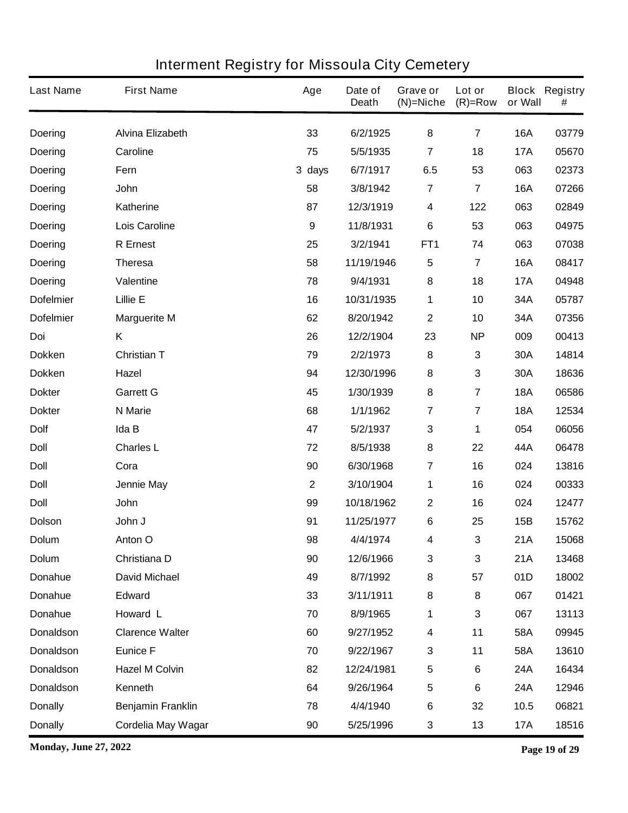| <b>Last Name</b> | <b>First Name</b>        | Age              | Date of<br><b>Death</b> | <b>Grave or</b><br>$(N)$ =Niche | Lot or<br>$(R)=Row$     | or Wall    | <b>Block Registry</b><br># |
|------------------|--------------------------|------------------|-------------------------|---------------------------------|-------------------------|------------|----------------------------|
| <b>Doering</b>   | <b>Alvina Elizabeth</b>  | 33               | 6/2/1925                | 8                               | $\overline{7}$          | <b>16A</b> | 03779                      |
| <b>Doering</b>   | Caroline                 | 75               | 5/5/1935                | $\overline{7}$                  | 18                      | <b>17A</b> | 05670                      |
| <b>Doering</b>   | Fern                     | 3 days           | 6/7/1917                | 6.5                             | 53                      | 063        | 02373                      |
| <b>Doering</b>   | <b>John</b>              | 58               | 3/8/1942                | $\overline{7}$                  | $\overline{\mathbf{7}}$ | <b>16A</b> | 07266                      |
| <b>Doering</b>   | <b>Katherine</b>         | 87               | 12/3/1919               | $\boldsymbol{4}$                | 122                     | 063        | 02849                      |
| <b>Doering</b>   | <b>Lois Caroline</b>     | $\boldsymbol{9}$ | 11/8/1931               | 6                               | 53                      | 063        | 04975                      |
| <b>Doering</b>   | <b>R</b> Ernest          | 25               | 3/2/1941                | FT <sub>1</sub>                 | 74                      | 063        | 07038                      |
| <b>Doering</b>   | <b>Theresa</b>           | 58               | 11/19/1946              | 5                               | $\overline{\mathbf{7}}$ | <b>16A</b> | 08417                      |
| <b>Doering</b>   | <b>Valentine</b>         | 78               | 9/4/1931                | 8                               | 18                      | <b>17A</b> | 04948                      |
| <b>Dofelmier</b> | <b>Lillie E</b>          | 16               | 10/31/1935              | 1                               | 10                      | 34A        | 05787                      |
| <b>Dofelmier</b> | <b>Marguerite M</b>      | 62               | 8/20/1942               | $\boldsymbol{2}$                | 10                      | 34A        | 07356                      |
| Doi              | Κ                        | 26               | 12/2/1904               | 23                              | <b>NP</b>               | 009        | 00413                      |
| <b>Dokken</b>    | <b>Christian T</b>       | 79               | 2/2/1973                | $\pmb{8}$                       | 3                       | 30A        | 14814                      |
| <b>Dokken</b>    | Hazel                    | 94               | 12/30/1996              | 8                               | 3                       | 30A        | 18636                      |
| <b>Dokter</b>    | <b>Garrett G</b>         | 45               | 1/30/1939               | $\pmb{8}$                       | 7                       | <b>18A</b> | 06586                      |
| <b>Dokter</b>    | <b>N</b> Marie           | 68               | 1/1/1962                | $\overline{7}$                  | 7                       | <b>18A</b> | 12534                      |
| <b>Dolf</b>      | Ida B                    | 47               | 5/2/1937                | $\mathbf{3}$                    | 1                       | 054        | 06056                      |
| <b>Doll</b>      | <b>Charles L</b>         | 72               | 8/5/1938                | 8                               | 22                      | 44A        | 06478                      |
| <b>Doll</b>      | Cora                     | 90               | 6/30/1968               | 7                               | 16                      | 024        | 13816                      |
| <b>Doll</b>      | Jennie May               | $\mathbf 2$      | 3/10/1904               | 1                               | 16                      | 024        | 00333                      |
| <b>Doll</b>      | John                     | 99               | 10/18/1962              | $\boldsymbol{2}$                | 16                      | 024        | 12477                      |
| <b>Dolson</b>    | John J                   | 91               | 11/25/1977              | 6                               | 25                      | 15B        | 15762                      |
| <b>Dolum</b>     | Anton O                  | 98               | 4/4/1974                | 4                               | 3                       | 21A        | 15068                      |
| <b>Dolum</b>     | Christiana D             | 90               | 12/6/1966               | $\mathbf{3}$                    | 3                       | 21A        | 13468                      |
| Donahue          | <b>David Michael</b>     | 49               | 8/7/1992                | 8                               | 57                      | 01D        | 18002                      |
| Donahue          | <b>Edward</b>            | 33               | 3/11/1911               | 8                               | 8                       | 067        | 01421                      |
| Donahue          | Howard L                 | 70               | 8/9/1965                | 1                               | 3                       | 067        | 13113                      |
| <b>Donaldson</b> | <b>Clarence Walter</b>   | 60               | 9/27/1952               | $\boldsymbol{4}$                | 11                      | 58A        | 09945                      |
| <b>Donaldson</b> | <b>Eunice F</b>          | 70               | 9/22/1967               | $\mathbf 3$                     | 11                      | 58A        | 13610                      |
| <b>Donaldson</b> | <b>Hazel M Colvin</b>    | 82               | 12/24/1981              | $\overline{\mathbf{5}}$         | 6                       | <b>24A</b> | 16434                      |
| <b>Donaldson</b> | Kenneth                  | 64               | 9/26/1964               | $\sqrt{5}$                      | 6                       | <b>24A</b> | 12946                      |
| <b>Donally</b>   | <b>Benjamin Franklin</b> | 78               | 4/4/1940                | $\bf 6$                         | 32                      | 10.5       | 06821                      |
| <b>Donally</b>   | Cordelia May Wagar       | 90               | 5/25/1996               | $\mathbf{3}$                    | 13                      | <b>17A</b> | 18516                      |

**Monday, June 27, 2022 Page 19 of 29**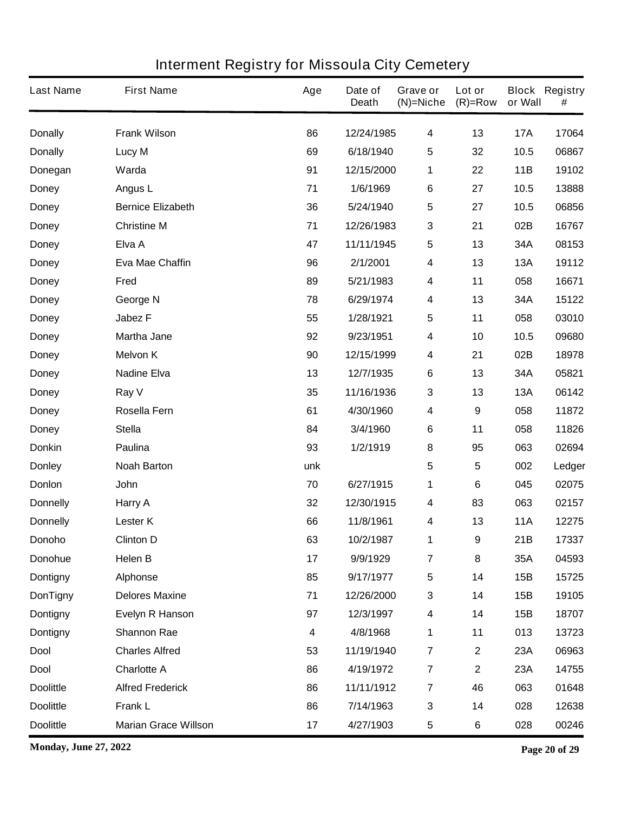| <b>Last Name</b> | <b>First Name</b>           | Age | Date of<br><b>Death</b> | Grave or<br>$(N)$ =Niche | Lot or<br>$(R)=Row$ | or Wall    | <b>Block Registry</b><br># |
|------------------|-----------------------------|-----|-------------------------|--------------------------|---------------------|------------|----------------------------|
| <b>Donally</b>   | <b>Frank Wilson</b>         | 86  | 12/24/1985              | 4                        | 13                  | <b>17A</b> | 17064                      |
| <b>Donally</b>   | Lucy M                      | 69  | 6/18/1940               | $\overline{\mathbf{5}}$  | 32                  | 10.5       | 06867                      |
| Donegan          | Warda                       | 91  | 12/15/2000              | 1                        | 22                  | 11B        | 19102                      |
| <b>Doney</b>     | Angus L                     | 71  | 1/6/1969                | 6                        | 27                  | 10.5       | 13888                      |
| <b>Doney</b>     | <b>Bernice Elizabeth</b>    | 36  | 5/24/1940               | $\overline{\mathbf{5}}$  | 27                  | 10.5       | 06856                      |
| <b>Doney</b>     | <b>Christine M</b>          | 71  | 12/26/1983              | $\mathbf{3}$             | 21                  | 02B        | 16767                      |
| <b>Doney</b>     | Elva A                      | 47  | 11/11/1945              | $\overline{\mathbf{5}}$  | 13                  | 34A        | 08153                      |
| <b>Doney</b>     | <b>Eva Mae Chaffin</b>      | 96  | 2/1/2001                | 4                        | 13                  | <b>13A</b> | 19112                      |
| <b>Doney</b>     | Fred                        | 89  | 5/21/1983               | 4                        | 11                  | 058        | 16671                      |
| <b>Doney</b>     | George N                    | 78  | 6/29/1974               | 4                        | 13                  | 34A        | 15122                      |
| <b>Doney</b>     | <b>Jabez F</b>              | 55  | 1/28/1921               | 5                        | 11                  | 058        | 03010                      |
| <b>Doney</b>     | <b>Martha Jane</b>          | 92  | 9/23/1951               | 4                        | 10                  | 10.5       | 09680                      |
| <b>Doney</b>     | <b>Melvon K</b>             | 90  | 12/15/1999              | 4                        | 21                  | 02B        | 18978                      |
| <b>Doney</b>     | <b>Nadine Elva</b>          | 13  | 12/7/1935               | 6                        | 13                  | 34A        | 05821                      |
| <b>Doney</b>     | Ray V                       | 35  | 11/16/1936              | $\mathbf{3}$             | 13                  | <b>13A</b> | 06142                      |
| <b>Doney</b>     | Rosella Fern                | 61  | 4/30/1960               | 4                        | 9                   | 058        | 11872                      |
| <b>Doney</b>     | <b>Stella</b>               | 84  | 3/4/1960                | 6                        | 11                  | 058        | 11826                      |
| <b>Donkin</b>    | Paulina                     | 93  | 1/2/1919                | 8                        | 95                  | 063        | 02694                      |
| <b>Donley</b>    | <b>Noah Barton</b>          | unk |                         | 5                        | 5                   | 002        | Ledger                     |
| Donlon           | <b>John</b>                 | 70  | 6/27/1915               | 1                        | 6                   | 045        | 02075                      |
| <b>Donnelly</b>  | Harry A                     | 32  | 12/30/1915              | 4                        | 83                  | 063        | 02157                      |
| <b>Donnelly</b>  | <b>Lester K</b>             | 66  | 11/8/1961               | 4                        | 13                  | <b>11A</b> | 12275                      |
| Donoho           | <b>Clinton D</b>            | 63  | 10/2/1987               | 1                        | 9                   | 21B        | 17337                      |
| <b>Donohue</b>   | Helen B                     | 17  | 9/9/1929                | $\overline{7}$           | 8                   | 35A        | 04593                      |
| <b>Dontigny</b>  | <b>Alphonse</b>             | 85  | 9/17/1977               | $\sqrt{5}$               | 14                  | 15B        | 15725                      |
| <b>DonTigny</b>  | <b>Delores Maxine</b>       | 71  | 12/26/2000              | $\mathbf 3$              | 14                  | 15B        | 19105                      |
| <b>Dontigny</b>  | <b>Evelyn R Hanson</b>      | 97  | 12/3/1997               | $\boldsymbol{4}$         | 14                  | 15B        | 18707                      |
| Dontigny         | <b>Shannon Rae</b>          | 4   | 4/8/1968                | 1                        | 11                  | 013        | 13723                      |
| <b>Dool</b>      | <b>Charles Alfred</b>       | 53  | 11/19/1940              | $\overline{7}$           | $\mathbf 2$         | 23A        | 06963                      |
| <b>Dool</b>      | <b>Charlotte A</b>          | 86  | 4/19/1972               | $\overline{7}$           | $\mathbf 2$         | 23A        | 14755                      |
| <b>Doolittle</b> | <b>Alfred Frederick</b>     | 86  | 11/11/1912              | $\overline{7}$           | 46                  | 063        | 01648                      |
| <b>Doolittle</b> | Frank L                     | 86  | 7/14/1963               | $\mathbf 3$              | 14                  | 028        | 12638                      |
| <b>Doolittle</b> | <b>Marian Grace Willson</b> | 17  | 4/27/1903               | $\sqrt{5}$               | 6                   | 028        | 00246                      |

**Monday, June 27, 2022 Page 20 of 29**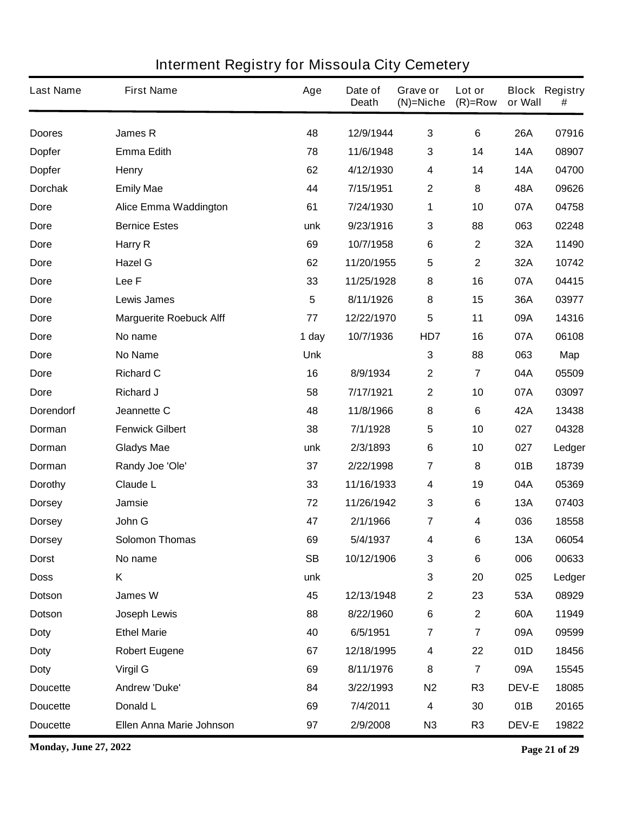| <b>Last Name</b> | <b>First Name</b>              | Age             | Date of<br><b>Death</b> | Grave or<br>$(N)$ =Niche | Lot or<br>$(R)=Row$     | or Wall      | <b>Block Registry</b><br># |
|------------------|--------------------------------|-----------------|-------------------------|--------------------------|-------------------------|--------------|----------------------------|
| <b>Doores</b>    | James R                        | 48              | 12/9/1944               | $\mathbf{3}$             | 6                       | <b>26A</b>   | 07916                      |
| <b>Dopfer</b>    | <b>Emma Edith</b>              | 78              | 11/6/1948               | 3                        | 14                      | <b>14A</b>   | 08907                      |
| <b>Dopfer</b>    | <b>Henry</b>                   | 62              | 4/12/1930               | 4                        | 14                      | <b>14A</b>   | 04700                      |
| <b>Dorchak</b>   | <b>Emily Mae</b>               | 44              | 7/15/1951               | $\boldsymbol{2}$         | 8                       | 48A          | 09626                      |
| Dore             | <b>Alice Emma Waddington</b>   | 61              | 7/24/1930               | 1                        | 10                      | 07A          | 04758                      |
| <b>Dore</b>      | <b>Bernice Estes</b>           | unk             | 9/23/1916               | 3                        | 88                      | 063          | 02248                      |
| Dore             | Harry R                        | 69              | 10/7/1958               | $\bf 6$                  | $\mathbf 2$             | 32A          | 11490                      |
| <b>Dore</b>      | <b>Hazel G</b>                 | 62              | 11/20/1955              | 5                        | $\mathbf 2$             | 32A          | 10742                      |
| Dore             | Lee F                          | 33              | 11/25/1928              | 8                        | 16                      | 07A          | 04415                      |
| <b>Dore</b>      | <b>Lewis James</b>             | $5\phantom{.0}$ | 8/11/1926               | 8                        | 15                      | 36A          | 03977                      |
| Dore             | <b>Marguerite Roebuck Alff</b> | 77              | 12/22/1970              | 5                        | 11                      | 09A          | 14316                      |
| <b>Dore</b>      | No name                        | 1 day           | 10/7/1936               | HD7                      | 16                      | 07A          | 06108                      |
| Dore             | <b>No Name</b>                 | <b>Unk</b>      |                         | $\mathbf{3}$             | 88                      | 063          | Map                        |
| <b>Dore</b>      | <b>Richard C</b>               | 16              | 8/9/1934                | $\mathbf{2}$             | $\overline{7}$          | 04A          | 05509                      |
| Dore             | <b>Richard J</b>               | 58              | 7/17/1921               | $\boldsymbol{2}$         | 10                      | 07A          | 03097                      |
| <b>Dorendorf</b> | Jeannette C                    | 48              | 11/8/1966               | 8                        | 6                       | 42A          | 13438                      |
| Dorman           | <b>Fenwick Gilbert</b>         | 38              | 7/1/1928                | $\sqrt{5}$               | 10                      | 027          | 04328                      |
| Dorman           | <b>Gladys Mae</b>              | unk             | 2/3/1893                | $\bf 6$                  | 10                      | 027          | Ledger                     |
| Dorman           | Randy Joe 'Ole'                | 37              | 2/22/1998               | $\overline{7}$           | 8                       | 01B          | 18739                      |
| Dorothy          | <b>Claude L</b>                | 33              | 11/16/1933              | $\boldsymbol{4}$         | 19                      | 04A          | 05369                      |
| <b>Dorsey</b>    | Jamsie                         | 72              | 11/26/1942              | 3                        | 6                       | <b>13A</b>   | 07403                      |
| <b>Dorsey</b>    | John G                         | 47              | 2/1/1966                | 7                        | 4                       | 036          | 18558                      |
| <b>Dorsey</b>    | <b>Solomon Thomas</b>          | 69              | 5/4/1937                | 4                        | 6                       | 13A          | 06054                      |
| <b>Dorst</b>     | No name                        | <b>SB</b>       | 10/12/1906              | $\mathbf 3$              | $\bf 6$                 | 006          | 00633                      |
| <b>Doss</b>      | Κ                              | unk             |                         | $\mathbf{3}$             | 20                      | 025          | Ledger                     |
| Dotson           | James W                        | 45              | 12/13/1948              | $\mathbf 2$              | 23                      | 53A          | 08929                      |
| <b>Dotson</b>    | Joseph Lewis                   | 88              | 8/22/1960               | $\bf 6$                  | $\mathbf 2$             | 60A          | 11949                      |
| <b>Doty</b>      | <b>Ethel Marie</b>             | 40              | 6/5/1951                | $\overline{\mathbf{r}}$  | $\overline{\mathbf{r}}$ | 09A          | 09599                      |
| <b>Doty</b>      | <b>Robert Eugene</b>           | 67              | 12/18/1995              | 4                        | 22                      | 01D          | 18456                      |
| <b>Doty</b>      | <b>Virgil G</b>                | 69              | 8/11/1976               | 8                        | $\overline{7}$          | 09A          | 15545                      |
| <b>Doucette</b>  | <b>Andrew 'Duke'</b>           | 84              | 3/22/1993               | N <sub>2</sub>           | R <sub>3</sub>          | DEV-E        | 18085                      |
| <b>Doucette</b>  | Donald L                       | 69              | 7/4/2011                | $\boldsymbol{4}$         | 30                      | 01B          | 20165                      |
| <b>Doucette</b>  | Ellen Anna Marie Johnson       | 97              | 2/9/2008                | N <sub>3</sub>           | R <sub>3</sub>          | <b>DEV-E</b> | 19822                      |

**Monday, June 27, 2022 Page 21 of 29**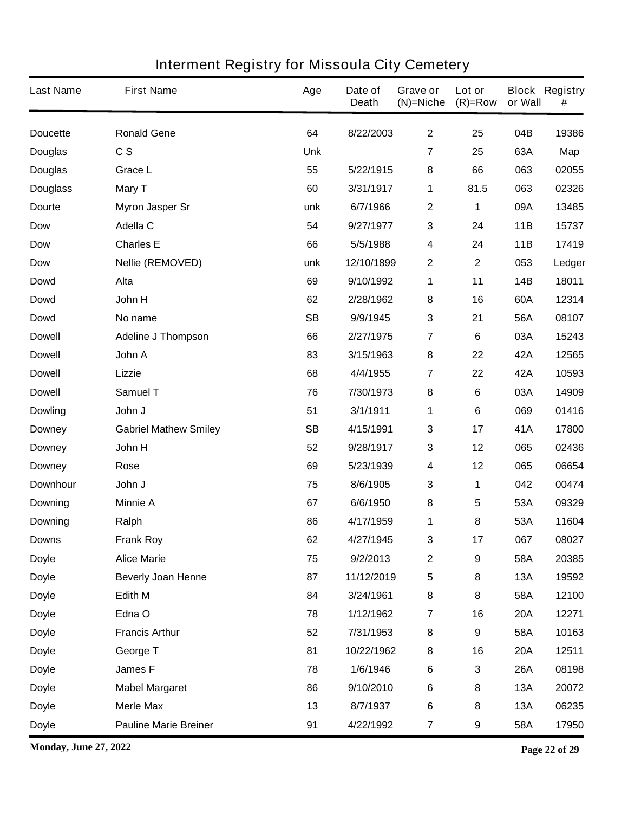| <b>Last Name</b> | <b>First Name</b>            | Age        | Date of<br><b>Death</b> | Grave or<br>$(N)=Niche$ | Lot or<br>$(R)=Row$ | or Wall    | <b>Block Registry</b><br># |
|------------------|------------------------------|------------|-------------------------|-------------------------|---------------------|------------|----------------------------|
| <b>Doucette</b>  | <b>Ronald Gene</b>           | 64         | 8/22/2003               | $\mathbf{2}$            | 25                  | 04B        | 19386                      |
| <b>Douglas</b>   | c s                          | <b>Unk</b> |                         | 7                       | 25                  | 63A        | Map                        |
| <b>Douglas</b>   | <b>Grace L</b>               | 55         | 5/22/1915               | 8                       | 66                  | 063        | 02055                      |
| <b>Douglass</b>  | <b>Mary T</b>                | 60         | 3/31/1917               | 1                       | 81.5                | 063        | 02326                      |
| Dourte           | <b>Myron Jasper Sr</b>       | unk        | 6/7/1966                | $\boldsymbol{2}$        | 1                   | 09A        | 13485                      |
| <b>Dow</b>       | <b>Adella C</b>              | 54         | 9/27/1977               | $\mathbf 3$             | 24                  | 11B        | 15737                      |
| <b>Dow</b>       | <b>Charles E</b>             | 66         | 5/5/1988                | $\boldsymbol{4}$        | 24                  | 11B        | 17419                      |
| <b>Dow</b>       | <b>Nellie (REMOVED)</b>      | unk        | 12/10/1899              | $\boldsymbol{2}$        | $\mathbf 2$         | 053        | Ledger                     |
| <b>Dowd</b>      | Alta                         | 69         | 9/10/1992               | 1                       | 11                  | <b>14B</b> | 18011                      |
| <b>Dowd</b>      | John H                       | 62         | 2/28/1962               | 8                       | 16                  | 60A        | 12314                      |
| <b>Dowd</b>      | No name                      | <b>SB</b>  | 9/9/1945                | $\mathbf{3}$            | 21                  | 56A        | 08107                      |
| <b>Dowell</b>    | <b>Adeline J Thompson</b>    | 66         | 2/27/1975               | 7                       | 6                   | 03A        | 15243                      |
| <b>Dowell</b>    | John A                       | 83         | 3/15/1963               | 8                       | 22                  | 42A        | 12565                      |
| <b>Dowell</b>    | <b>Lizzie</b>                | 68         | 4/4/1955                | 7                       | 22                  | 42A        | 10593                      |
| <b>Dowell</b>    | <b>Samuel T</b>              | 76         | 7/30/1973               | 8                       | 6                   | 03A        | 14909                      |
| <b>Dowling</b>   | John J                       | 51         | 3/1/1911                | 1                       | 6                   | 069        | 01416                      |
| <b>Downey</b>    | <b>Gabriel Mathew Smiley</b> | <b>SB</b>  | 4/15/1991               | $\mathbf{3}$            | 17                  | 41A        | 17800                      |
| <b>Downey</b>    | John H                       | 52         | 9/28/1917               | 3                       | 12                  | 065        | 02436                      |
| <b>Downey</b>    | Rose                         | 69         | 5/23/1939               | 4                       | 12                  | 065        | 06654                      |
| <b>Downhour</b>  | John J                       | 75         | 8/6/1905                | 3                       | 1                   | 042        | 00474                      |
| <b>Downing</b>   | <b>Minnie A</b>              | 67         | 6/6/1950                | 8                       | 5                   | 53A        | 09329                      |
| <b>Downing</b>   | Ralph                        | 86         | 4/17/1959               | 1                       | 8                   | 53A        | 11604                      |
| <b>Downs</b>     | <b>Frank Roy</b>             | 62         | 4/27/1945               | 3                       | 17                  | 067        | 08027                      |
| <b>Doyle</b>     | <b>Alice Marie</b>           | 75         | 9/2/2013                | $\mathbf{2}$            | 9                   | 58A        | 20385                      |
| <b>Doyle</b>     | <b>Beverly Joan Henne</b>    | 87         | 11/12/2019              | $\sqrt{5}$              | 8                   | 13A        | 19592                      |
| <b>Doyle</b>     | Edith M                      | 84         | 3/24/1961               | 8                       | 8                   | 58A        | 12100                      |
| <b>Doyle</b>     | Edna O                       | 78         | 1/12/1962               | $\overline{7}$          | 16                  | <b>20A</b> | 12271                      |
| <b>Doyle</b>     | <b>Francis Arthur</b>        | 52         | 7/31/1953               | 8                       | 9                   | 58A        | 10163                      |
| <b>Doyle</b>     | George T                     | 81         | 10/22/1962              | 8                       | 16                  | <b>20A</b> | 12511                      |
| <b>Doyle</b>     | James F                      | 78         | 1/6/1946                | $\bf 6$                 | 3                   | <b>26A</b> | 08198                      |
| <b>Doyle</b>     | <b>Mabel Margaret</b>        | 86         | 9/10/2010               | $\bf 6$                 | 8                   | 13A        | 20072                      |
| <b>Doyle</b>     | <b>Merle Max</b>             | 13         | 8/7/1937                | $\bf 6$                 | 8                   | 13A        | 06235                      |
| <b>Doyle</b>     | <b>Pauline Marie Breiner</b> | 91         | 4/22/1992               | $\overline{7}$          | 9                   | 58A        | 17950                      |

**Monday, June 27, 2022 Page 22 of 29**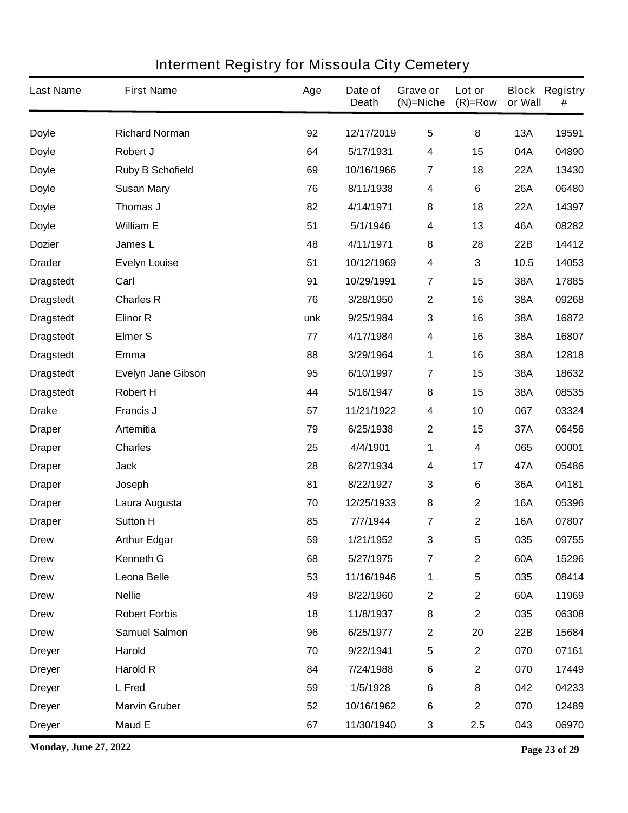| <b>Last Name</b> | <b>First Name</b>         | Age | Date of<br><b>Death</b> | Grave or<br>(N)=Niche   | Lot or<br>$(R)=Row$ | or Wall    | <b>Block Registry</b><br># |
|------------------|---------------------------|-----|-------------------------|-------------------------|---------------------|------------|----------------------------|
| <b>Doyle</b>     | <b>Richard Norman</b>     | 92  | 12/17/2019              | 5                       | 8                   | <b>13A</b> | 19591                      |
| <b>Doyle</b>     | Robert J                  | 64  | 5/17/1931               | 4                       | 15                  | 04A        | 04890                      |
| <b>Doyle</b>     | <b>Ruby B Schofield</b>   | 69  | 10/16/1966              | 7                       | 18                  | <b>22A</b> | 13430                      |
| <b>Doyle</b>     | <b>Susan Mary</b>         | 76  | 8/11/1938               | 4                       | 6                   | <b>26A</b> | 06480                      |
| <b>Doyle</b>     | Thomas J                  | 82  | 4/14/1971               | 8                       | 18                  | <b>22A</b> | 14397                      |
| <b>Doyle</b>     | <b>William E</b>          | 51  | 5/1/1946                | 4                       | 13                  | 46A        | 08282                      |
| <b>Dozier</b>    | James L                   | 48  | 4/11/1971               | 8                       | 28                  | <b>22B</b> | 14412                      |
| <b>Drader</b>    | <b>Evelyn Louise</b>      | 51  | 10/12/1969              | 4                       | 3                   | 10.5       | 14053                      |
| <b>Dragstedt</b> | Carl                      | 91  | 10/29/1991              | $\overline{7}$          | 15                  | 38A        | 17885                      |
| <b>Dragstedt</b> | <b>Charles R</b>          | 76  | 3/28/1950               | $\boldsymbol{2}$        | 16                  | 38A        | 09268                      |
| <b>Dragstedt</b> | <b>Elinor R</b>           | unk | 9/25/1984               | 3                       | 16                  | 38A        | 16872                      |
| <b>Dragstedt</b> | <b>Elmer S</b>            | 77  | 4/17/1984               | 4                       | 16                  | 38A        | 16807                      |
| <b>Dragstedt</b> | Emma                      | 88  | 3/29/1964               | 1                       | 16                  | 38A        | 12818                      |
| <b>Dragstedt</b> | <b>Evelyn Jane Gibson</b> | 95  | 6/10/1997               | $\overline{\mathbf{7}}$ | 15                  | 38A        | 18632                      |
| <b>Dragstedt</b> | <b>Robert H</b>           | 44  | 5/16/1947               | 8                       | 15                  | 38A        | 08535                      |
| <b>Drake</b>     | <b>Francis J</b>          | 57  | 11/21/1922              | 4                       | 10                  | 067        | 03324                      |
| <b>Draper</b>    | <b>Artemitia</b>          | 79  | 6/25/1938               | $\mathbf 2$             | 15                  | 37A        | 06456                      |
| <b>Draper</b>    | <b>Charles</b>            | 25  | 4/4/1901                | 1                       | 4                   | 065        | 00001                      |
| <b>Draper</b>    | <b>Jack</b>               | 28  | 6/27/1934               | 4                       | 17                  | 47A        | 05486                      |
| <b>Draper</b>    | Joseph                    | 81  | 8/22/1927               | 3                       | 6                   | 36A        | 04181                      |
| <b>Draper</b>    | Laura Augusta             | 70  | 12/25/1933              | 8                       | 2                   | <b>16A</b> | 05396                      |
| <b>Draper</b>    | <b>Sutton H</b>           | 85  | 7/7/1944                | 7                       | $\mathbf 2$         | <b>16A</b> | 07807                      |
| <b>Drew</b>      | <b>Arthur Edgar</b>       | 59  | 1/21/1952               | 3                       | 5                   | 035        | 09755                      |
| <b>Drew</b>      | Kenneth G                 | 68  | 5/27/1975               | $\overline{7}$          | $\mathbf 2$         | 60A        | 15296                      |
| <b>Drew</b>      | Leona Belle               | 53  | 11/16/1946              | $\mathbf{1}$            | 5                   | 035        | 08414                      |
| <b>Drew</b>      | <b>Nellie</b>             | 49  | 8/22/1960               | $\boldsymbol{2}$        | $\mathbf 2$         | 60A        | 11969                      |
| <b>Drew</b>      | <b>Robert Forbis</b>      | 18  | 11/8/1937               | 8                       | $\mathbf 2$         | 035        | 06308                      |
| <b>Drew</b>      | <b>Samuel Salmon</b>      | 96  | 6/25/1977               | $\mathbf 2$             | 20                  | 22B        | 15684                      |
| <b>Dreyer</b>    | Harold                    | 70  | 9/22/1941               | $\overline{\mathbf{5}}$ | $\mathbf 2$         | 070        | 07161                      |
| <b>Dreyer</b>    | <b>Harold R</b>           | 84  | 7/24/1988               | $\bf 6$                 | $\mathbf 2$         | 070        | 17449                      |
| <b>Dreyer</b>    | L Fred                    | 59  | 1/5/1928                | $\bf 6$                 | 8                   | 042        | 04233                      |
| <b>Dreyer</b>    | <b>Marvin Gruber</b>      | 52  | 10/16/1962              | $\bf 6$                 | $\mathbf 2$         | 070        | 12489                      |
| <b>Dreyer</b>    | Maud E                    | 67  | 11/30/1940              | 3                       | 2.5                 | 043        | 06970                      |

**Monday, June 27, 2022 Page 23 of 29**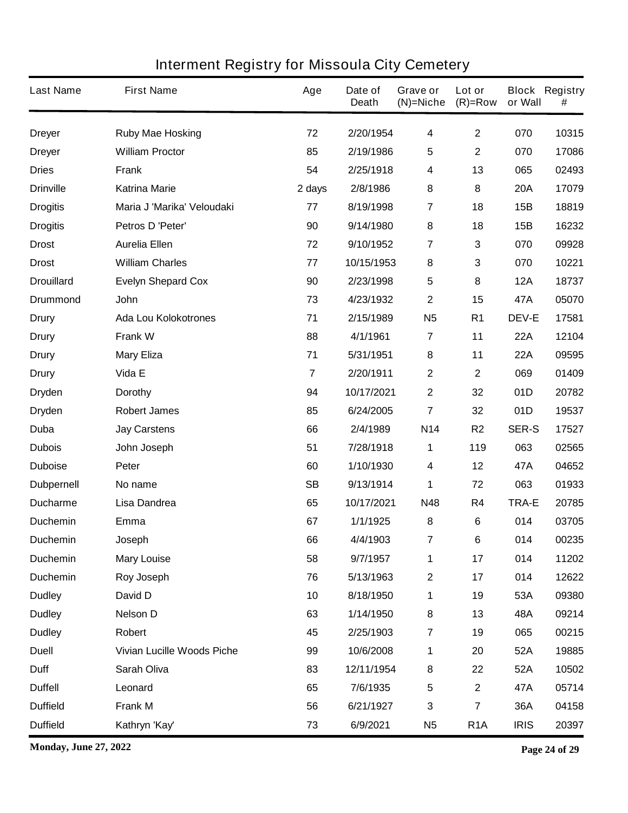| <b>Last Name</b>  | <b>First Name</b>                 | Age            | Date of<br><b>Death</b> | Grave or<br>$(N)$ =Niche | Lot or<br>$(R)=Row$     | or Wall      | <b>Block Registry</b><br># |
|-------------------|-----------------------------------|----------------|-------------------------|--------------------------|-------------------------|--------------|----------------------------|
| <b>Dreyer</b>     | <b>Ruby Mae Hosking</b>           | 72             | 2/20/1954               | 4                        | $\mathbf{2}$            | 070          | 10315                      |
| <b>Dreyer</b>     | <b>William Proctor</b>            | 85             | 2/19/1986               | 5                        | $\mathbf 2$             | 070          | 17086                      |
| <b>Dries</b>      | Frank                             | 54             | 2/25/1918               | 4                        | 13                      | 065          | 02493                      |
| <b>Drinville</b>  | <b>Katrina Marie</b>              | 2 days         | 2/8/1986                | 8                        | 8                       | <b>20A</b>   | 17079                      |
| <b>Drogitis</b>   | Maria J 'Marika' Veloudaki        | 77             | 8/19/1998               | $\overline{7}$           | 18                      | 15B          | 18819                      |
| <b>Drogitis</b>   | Petros D 'Peter'                  | 90             | 9/14/1980               | 8                        | 18                      | 15B          | 16232                      |
| <b>Drost</b>      | <b>Aurelia Ellen</b>              | 72             | 9/10/1952               | $\overline{7}$           | 3                       | 070          | 09928                      |
| <b>Drost</b>      | <b>William Charles</b>            | 77             | 10/15/1953              | 8                        | 3                       | 070          | 10221                      |
| <b>Drouillard</b> | <b>Evelyn Shepard Cox</b>         | 90             | 2/23/1998               | $5\phantom{.0}$          | 8                       | <b>12A</b>   | 18737                      |
| <b>Drummond</b>   | John                              | 73             | 4/23/1932               | $\mathbf{2}$             | 15                      | 47A          | 05070                      |
| Drury             | <b>Ada Lou Kolokotrones</b>       | 71             | 2/15/1989               | <b>N5</b>                | R <sub>1</sub>          | <b>DEV-E</b> | 17581                      |
| <b>Drury</b>      | <b>Frank W</b>                    | 88             | 4/1/1961                | $\overline{7}$           | 11                      | <b>22A</b>   | 12104                      |
| Drury             | <b>Mary Eliza</b>                 | 71             | 5/31/1951               | 8                        | 11                      | <b>22A</b>   | 09595                      |
| <b>Drury</b>      | Vida E                            | $\overline{7}$ | 2/20/1911               | $\boldsymbol{2}$         | $\mathbf 2$             | 069          | 01409                      |
| <b>Dryden</b>     | <b>Dorothy</b>                    | 94             | 10/17/2021              | $\mathbf{2}$             | 32                      | 01D          | 20782                      |
| <b>Dryden</b>     | <b>Robert James</b>               | 85             | 6/24/2005               | $\overline{7}$           | 32                      | 01D          | 19537                      |
| Duba              | <b>Jay Carstens</b>               | 66             | 2/4/1989                | N14                      | R <sub>2</sub>          | <b>SER-S</b> | 17527                      |
| <b>Dubois</b>     | John Joseph                       | 51             | 7/28/1918               | 1                        | 119                     | 063          | 02565                      |
| <b>Duboise</b>    | Peter                             | 60             | 1/10/1930               | 4                        | 12                      | 47A          | 04652                      |
| <b>Dubpernell</b> | No name                           | <b>SB</b>      | 9/13/1914               | 1                        | 72                      | 063          | 01933                      |
| <b>Ducharme</b>   | Lisa Dandrea                      | 65             | 10/17/2021              | <b>N48</b>               | R4                      | <b>TRA-E</b> | 20785                      |
| <b>Duchemin</b>   | <b>Emma</b>                       | 67             | 1/1/1925                | 8                        | 6                       | 014          | 03705                      |
| <b>Duchemin</b>   | Joseph                            | 66             | 4/4/1903                | 7                        | 6                       | 014          | 00235                      |
| <b>Duchemin</b>   | <b>Mary Louise</b>                | 58             | 9/7/1957                | 1                        | 17                      | 014          | 11202                      |
| <b>Duchemin</b>   | Roy Joseph                        | 76             | 5/13/1963               | $\boldsymbol{2}$         | 17                      | 014          | 12622                      |
| <b>Dudley</b>     | David D                           | 10             | 8/18/1950               | 1                        | 19                      | 53A          | 09380                      |
| <b>Dudley</b>     | <b>Nelson D</b>                   | 63             | 1/14/1950               | 8                        | 13                      | 48A          | 09214                      |
| <b>Dudley</b>     | Robert                            | 45             | 2/25/1903               | $\overline{7}$           | 19                      | 065          | 00215                      |
| <b>Duell</b>      | <b>Vivian Lucille Woods Piche</b> | 99             | 10/6/2008               | 1                        | 20                      | 52A          | 19885                      |
| <b>Duff</b>       | Sarah Oliva                       | 83             | 12/11/1954              | 8                        | 22                      | 52A          | 10502                      |
| <b>Duffell</b>    | Leonard                           | 65             | 7/6/1935                | 5                        | $\mathbf 2$             | 47A          | 05714                      |
| <b>Duffield</b>   | <b>Frank M</b>                    | 56             | 6/21/1927               | 3                        | $\overline{\mathbf{7}}$ | 36A          | 04158                      |
| <b>Duffield</b>   | Kathryn 'Kay'                     | 73             | 6/9/2021                | <b>N5</b>                | R <sub>1</sub> A        | <b>IRIS</b>  | 20397                      |

**Monday, June 27, 2022 Page 24 of 29**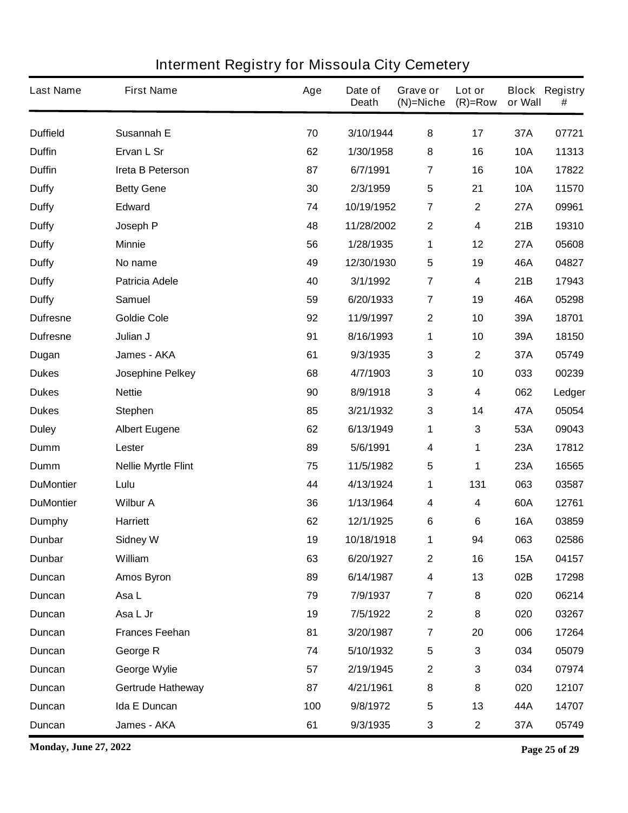| <b>Last Name</b> | <b>First Name</b>          | Age | Date of<br><b>Death</b> | Grave or<br>$(N)$ =Niche | Lot or<br>$(R)=Row$ | or Wall    | <b>Block Registry</b><br># |
|------------------|----------------------------|-----|-------------------------|--------------------------|---------------------|------------|----------------------------|
| <b>Duffield</b>  | Susannah E                 | 70  | 3/10/1944               | 8                        | 17                  | 37A        | 07721                      |
| <b>Duffin</b>    | Ervan L Sr                 | 62  | 1/30/1958               | 8                        | 16                  | <b>10A</b> | 11313                      |
| <b>Duffin</b>    | Ireta B Peterson           | 87  | 6/7/1991                | $\overline{7}$           | 16                  | <b>10A</b> | 17822                      |
| <b>Duffy</b>     | <b>Betty Gene</b>          | 30  | 2/3/1959                | $\sqrt{5}$               | 21                  | <b>10A</b> | 11570                      |
| <b>Duffy</b>     | <b>Edward</b>              | 74  | 10/19/1952              | $\overline{7}$           | $\mathbf 2$         | 27A        | 09961                      |
| <b>Duffy</b>     | Joseph P                   | 48  | 11/28/2002              | $\boldsymbol{2}$         | 4                   | 21B        | 19310                      |
| <b>Duffy</b>     | <b>Minnie</b>              | 56  | 1/28/1935               | 1                        | 12                  | 27A        | 05608                      |
| <b>Duffy</b>     | No name                    | 49  | 12/30/1930              | $\sqrt{5}$               | 19                  | 46A        | 04827                      |
| <b>Duffy</b>     | <b>Patricia Adele</b>      | 40  | 3/1/1992                | $\overline{7}$           | 4                   | 21B        | 17943                      |
| <b>Duffy</b>     | <b>Samuel</b>              | 59  | 6/20/1933               | $\overline{7}$           | 19                  | 46A        | 05298                      |
| <b>Dufresne</b>  | <b>Goldie Cole</b>         | 92  | 11/9/1997               | $\boldsymbol{2}$         | 10                  | 39A        | 18701                      |
| <b>Dufresne</b>  | Julian J                   | 91  | 8/16/1993               | 1                        | 10                  | 39A        | 18150                      |
| Dugan            | James - AKA                | 61  | 9/3/1935                | $\mathbf 3$              | $\mathbf 2$         | 37A        | 05749                      |
| <b>Dukes</b>     | Josephine Pelkey           | 68  | 4/7/1903                | $\mathbf 3$              | 10                  | 033        | 00239                      |
| <b>Dukes</b>     | <b>Nettie</b>              | 90  | 8/9/1918                | $\mathbf 3$              | 4                   | 062        | Ledger                     |
| <b>Dukes</b>     | <b>Stephen</b>             | 85  | 3/21/1932               | $\mathbf 3$              | 14                  | 47A        | 05054                      |
| <b>Duley</b>     | <b>Albert Eugene</b>       | 62  | 6/13/1949               | 1                        | 3                   | 53A        | 09043                      |
| Dumm             | Lester                     | 89  | 5/6/1991                | $\boldsymbol{4}$         | 1                   | 23A        | 17812                      |
| Dumm             | <b>Nellie Myrtle Flint</b> | 75  | 11/5/1982               | $\overline{\mathbf{5}}$  | 1                   | 23A        | 16565                      |
| <b>DuMontier</b> | Lulu                       | 44  | 4/13/1924               | 1                        | 131                 | 063        | 03587                      |
| <b>DuMontier</b> | <b>Wilbur A</b>            | 36  | 1/13/1964               | 4                        | 4                   | 60A        | 12761                      |
| <b>Dumphy</b>    | <b>Harriett</b>            | 62  | 12/1/1925               | 6                        | 6                   | <b>16A</b> | 03859                      |
| Dunbar           | <b>Sidney W</b>            | 19  | 10/18/1918              | 1                        | 94                  | 063        | 02586                      |
| Dunbar           | William                    | 63  | 6/20/1927               | $\boldsymbol{2}$         | 16                  | <b>15A</b> | 04157                      |
| Duncan           | <b>Amos Byron</b>          | 89  | 6/14/1987               | $\overline{\mathbf{4}}$  | 13                  | 02B        | 17298                      |
| Duncan           | Asa L                      | 79  | 7/9/1937                | $\overline{7}$           | 8                   | 020        | 06214                      |
| Duncan           | Asa L Jr                   | 19  | 7/5/1922                | $\boldsymbol{2}$         | 8                   | 020        | 03267                      |
| Duncan           | <b>Frances Feehan</b>      | 81  | 3/20/1987               | $\overline{7}$           | 20                  | 006        | 17264                      |
| Duncan           | George R                   | 74  | 5/10/1932               | $\sqrt{5}$               | 3                   | 034        | 05079                      |
| Duncan           | George Wylie               | 57  | 2/19/1945               | $\boldsymbol{2}$         | 3                   | 034        | 07974                      |
| Duncan           | <b>Gertrude Hatheway</b>   | 87  | 4/21/1961               | $\bf 8$                  | 8                   | 020        | 12107                      |
| Duncan           | Ida E Duncan               | 100 | 9/8/1972                | $\sqrt{5}$               | 13                  | 44A        | 14707                      |
| Duncan           | James - AKA                | 61  | 9/3/1935                | $\mathbf{3}$             | $\mathbf 2$         | 37A        | 05749                      |

**Monday, June 27, 2022 Page 25 of 29**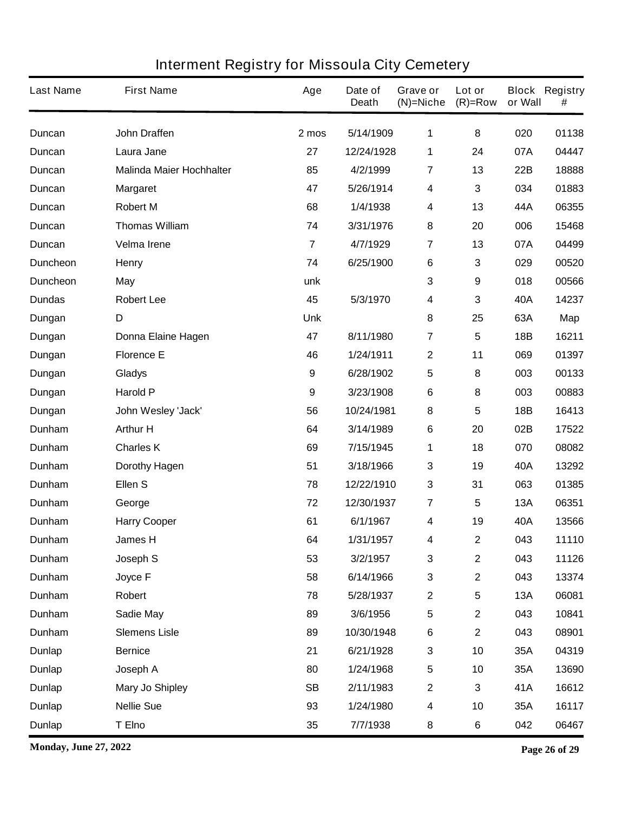| <b>Last Name</b> | <b>First Name</b>               | Age              | Date of<br><b>Death</b> | Grave or<br>$(N)$ =Niche | Lot or<br>$(R)=Row$ | or Wall    | <b>Block Registry</b><br># |
|------------------|---------------------------------|------------------|-------------------------|--------------------------|---------------------|------------|----------------------------|
| <b>Duncan</b>    | <b>John Draffen</b>             | 2 mos            | 5/14/1909               | 1                        | 8                   | 020        | 01138                      |
| <b>Duncan</b>    | Laura Jane                      | 27               | 12/24/1928              | 1                        | 24                  | 07A        | 04447                      |
| Duncan           | <b>Malinda Maier Hochhalter</b> | 85               | 4/2/1999                | $\overline{7}$           | 13                  | 22B        | 18888                      |
| <b>Duncan</b>    | <b>Margaret</b>                 | 47               | 5/26/1914               | 4                        | 3                   | 034        | 01883                      |
| <b>Duncan</b>    | <b>Robert M</b>                 | 68               | 1/4/1938                | 4                        | 13                  | 44A        | 06355                      |
| Duncan           | <b>Thomas William</b>           | 74               | 3/31/1976               | 8                        | 20                  | 006        | 15468                      |
| <b>Duncan</b>    | <b>Velma Irene</b>              | $\overline{7}$   | 4/7/1929                | 7                        | 13                  | 07A        | 04499                      |
| <b>Duncheon</b>  | <b>Henry</b>                    | 74               | 6/25/1900               | $\bf 6$                  | 3                   | 029        | 00520                      |
| <b>Duncheon</b>  | <b>May</b>                      | unk              |                         | 3                        | 9                   | 018        | 00566                      |
| <b>Dundas</b>    | <b>Robert Lee</b>               | 45               | 5/3/1970                | 4                        | 3                   | 40A        | 14237                      |
| Dungan           | D                               | <b>Unk</b>       |                         | 8                        | 25                  | 63A        | Map                        |
| Dungan           | Donna Elaine Hagen              | 47               | 8/11/1980               | 7                        | 5                   | 18B        | 16211                      |
| Dungan           | <b>Florence E</b>               | 46               | 1/24/1911               | $\mathbf 2$              | 11                  | 069        | 01397                      |
| Dungan           | <b>Gladys</b>                   | $\boldsymbol{9}$ | 6/28/1902               | 5                        | 8                   | 003        | 00133                      |
| Dungan           | <b>Harold P</b>                 | $\boldsymbol{9}$ | 3/23/1908               | 6                        | 8                   | 003        | 00883                      |
| Dungan           | John Wesley 'Jack'              | 56               | 10/24/1981              | 8                        | 5                   | 18B        | 16413                      |
| Dunham           | <b>Arthur H</b>                 | 64               | 3/14/1989               | $\bf 6$                  | 20                  | 02B        | 17522                      |
| Dunham           | <b>Charles K</b>                | 69               | 7/15/1945               | 1                        | 18                  | 070        | 08082                      |
| Dunham           | <b>Dorothy Hagen</b>            | 51               | 3/18/1966               | 3                        | 19                  | 40A        | 13292                      |
| Dunham           | Ellen <sub>S</sub>              | 78               | 12/22/1910              | 3                        | 31                  | 063        | 01385                      |
| Dunham           | George                          | 72               | 12/30/1937              | $\overline{\mathbf{7}}$  | 5                   | <b>13A</b> | 06351                      |
| <b>Dunham</b>    | <b>Harry Cooper</b>             | 61               | 6/1/1967                | 4                        | 19                  | 40A        | 13566                      |
| Dunham           | <b>James H</b>                  | 64               | 1/31/1957               | 4                        | $\mathbf 2$         | 043        | 11110                      |
| Dunham           | Joseph S                        | 53               | 3/2/1957                | $\mathbf 3$              | $\mathbf 2$         | 043        | 11126                      |
| Dunham           | Joyce F                         | 58               | 6/14/1966               | $\mathbf 3$              | $\mathbf 2$         | 043        | 13374                      |
| Dunham           | Robert                          | 78               | 5/28/1937               | $\mathbf 2$              | 5                   | 13A        | 06081                      |
| Dunham           | Sadie May                       | 89               | 3/6/1956                | 5                        | $\mathbf 2$         | 043        | 10841                      |
| Dunham           | <b>Slemens Lisle</b>            | 89               | 10/30/1948              | 6                        | $\mathbf 2$         | 043        | 08901                      |
| <b>Dunlap</b>    | <b>Bernice</b>                  | 21               | 6/21/1928               | $\mathbf 3$              | 10                  | 35A        | 04319                      |
| <b>Dunlap</b>    | Joseph A                        | 80               | 1/24/1968               | 5                        | 10                  | 35A        | 13690                      |
| <b>Dunlap</b>    | <b>Mary Jo Shipley</b>          | <b>SB</b>        | 2/11/1983               | $\boldsymbol{2}$         | 3                   | 41A        | 16612                      |
| <b>Dunlap</b>    | <b>Nellie Sue</b>               | 93               | 1/24/1980               | $\overline{\mathbf{4}}$  | 10                  | 35A        | 16117                      |
| <b>Dunlap</b>    | T Elno                          | 35               | 7/7/1938                | 8                        | 6                   | 042        | 06467                      |

**Monday, June 27, 2022 Page 26 of 29**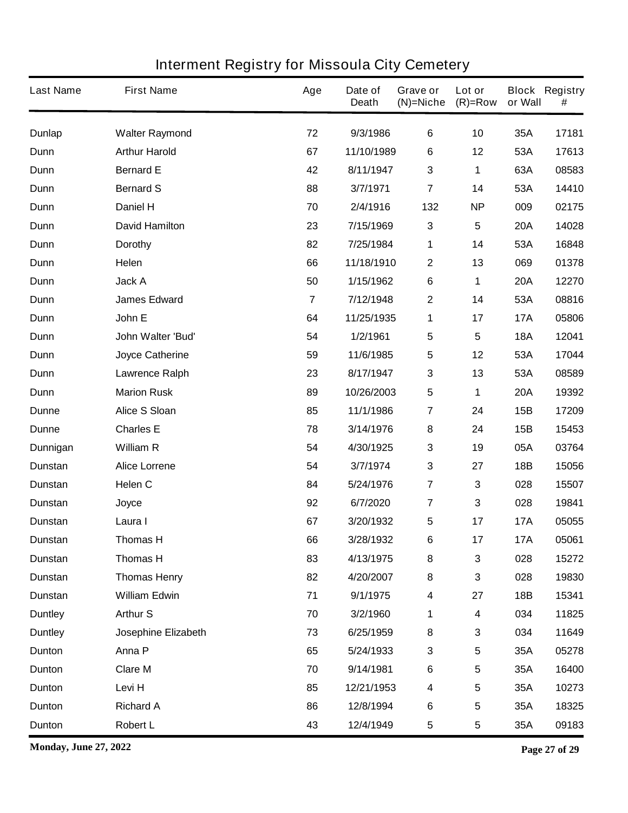| <b>Last Name</b> | <b>First Name</b>      | Age            | Date of<br><b>Death</b> | Grave or<br>$(N)$ =Niche | Lot or<br>$(R)=Row$ | or Wall    | <b>Block Registry</b><br># |
|------------------|------------------------|----------------|-------------------------|--------------------------|---------------------|------------|----------------------------|
| Dunlap           | <b>Walter Raymond</b>  | 72             | 9/3/1986                | $\bf 6$                  | 10                  | 35A        | 17181                      |
| Dunn             | <b>Arthur Harold</b>   | 67             | 11/10/1989              | 6                        | 12                  | 53A        | 17613                      |
| Dunn             | <b>Bernard E</b>       | 42             | 8/11/1947               | 3                        | 1                   | 63A        | 08583                      |
| Dunn             | <b>Bernard S</b>       | 88             | 3/7/1971                | $\overline{7}$           | 14                  | 53A        | 14410                      |
| Dunn             | <b>Daniel H</b>        | 70             | 2/4/1916                | 132                      | <b>NP</b>           | 009        | 02175                      |
| Dunn             | <b>David Hamilton</b>  | 23             | 7/15/1969               | $\mathbf 3$              | 5                   | <b>20A</b> | 14028                      |
| Dunn             | <b>Dorothy</b>         | 82             | 7/25/1984               | 1                        | 14                  | 53A        | 16848                      |
| Dunn             | Helen                  | 66             | 11/18/1910              | $\boldsymbol{2}$         | 13                  | 069        | 01378                      |
| Dunn             | Jack A                 | 50             | 1/15/1962               | 6                        | 1                   | <b>20A</b> | 12270                      |
| Dunn             | <b>James Edward</b>    | $\overline{7}$ | 7/12/1948               | $\boldsymbol{2}$         | 14                  | 53A        | 08816                      |
| Dunn             | John E                 | 64             | 11/25/1935              | 1                        | 17                  | <b>17A</b> | 05806                      |
| Dunn             | John Walter 'Bud'      | 54             | 1/2/1961                | 5                        | 5                   | <b>18A</b> | 12041                      |
| Dunn             | <b>Joyce Catherine</b> | 59             | 11/6/1985               | 5                        | 12                  | 53A        | 17044                      |
| Dunn             | <b>Lawrence Ralph</b>  | 23             | 8/17/1947               | 3                        | 13                  | 53A        | 08589                      |
| Dunn             | <b>Marion Rusk</b>     | 89             | 10/26/2003              | 5                        | 1                   | <b>20A</b> | 19392                      |
| Dunne            | <b>Alice S Sloan</b>   | 85             | 11/1/1986               | $\overline{\mathbf{7}}$  | 24                  | 15B        | 17209                      |
| <b>Dunne</b>     | <b>Charles E</b>       | 78             | 3/14/1976               | 8                        | 24                  | 15B        | 15453                      |
| Dunnigan         | <b>William R</b>       | 54             | 4/30/1925               | 3                        | 19                  | 05A        | 03764                      |
| Dunstan          | <b>Alice Lorrene</b>   | 54             | 3/7/1974                | 3                        | 27                  | <b>18B</b> | 15056                      |
| <b>Dunstan</b>   | Helen C                | 84             | 5/24/1976               | $\overline{7}$           | 3                   | 028        | 15507                      |
| <b>Dunstan</b>   | Joyce                  | 92             | 6/7/2020                | $\overline{7}$           | 3                   | 028        | 19841                      |
| <b>Dunstan</b>   | Laura I                | 67             | 3/20/1932               | 5                        | 17                  | <b>17A</b> | 05055                      |
| Dunstan          | <b>Thomas H</b>        | 66             | 3/28/1932               | 6                        | 17                  | <b>17A</b> | 05061                      |
| Dunstan          | <b>Thomas H</b>        | 83             | 4/13/1975               | 8                        | 3                   | 028        | 15272                      |
| <b>Dunstan</b>   | <b>Thomas Henry</b>    | 82             | 4/20/2007               | 8                        | 3                   | 028        | 19830                      |
| <b>Dunstan</b>   | <b>William Edwin</b>   | 71             | 9/1/1975                | $\overline{\mathbf{4}}$  | 27                  | <b>18B</b> | 15341                      |
| <b>Duntley</b>   | <b>Arthur S</b>        | 70             | 3/2/1960                | 1                        | 4                   | 034        | 11825                      |
| <b>Duntley</b>   | Josephine Elizabeth    | 73             | 6/25/1959               | 8                        | 3                   | 034        | 11649                      |
| Dunton           | Anna P                 | 65             | 5/24/1933               | 3                        | 5                   | 35A        | 05278                      |
| Dunton           | <b>Clare M</b>         | 70             | 9/14/1981               | 6                        | 5                   | 35A        | 16400                      |
| Dunton           | Levi H                 | 85             | 12/21/1953              | 4                        | 5                   | 35A        | 10273                      |
| Dunton           | <b>Richard A</b>       | 86             | 12/8/1994               | $\bf 6$                  | 5                   | 35A        | 18325                      |
| Dunton           | <b>Robert L</b>        | 43             | 12/4/1949               | 5                        | 5                   | 35A        | 09183                      |

**Monday, June 27, 2022 Page 27 of 29**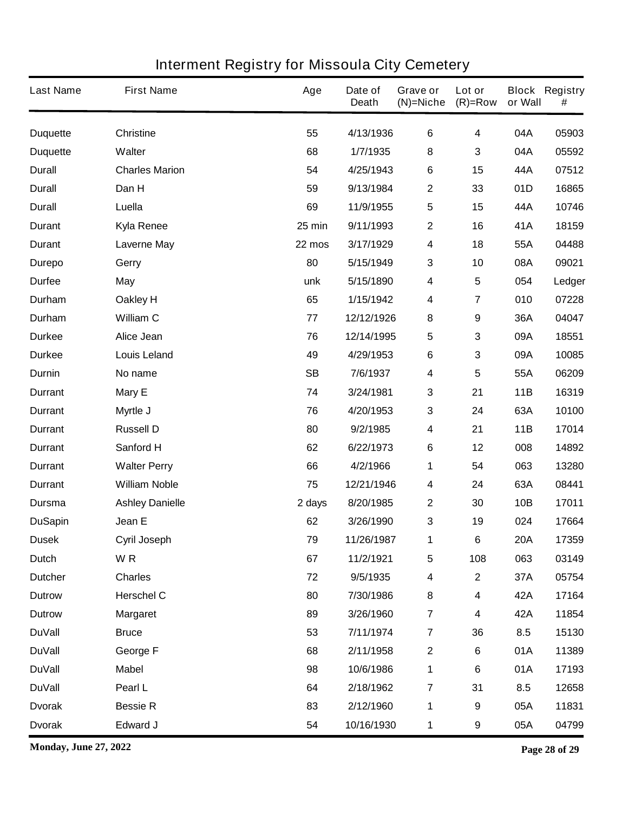| <b>Last Name</b> | <b>First Name</b>      | Age       | Date of<br><b>Death</b> | Grave or<br>$(N)$ =Niche | Lot or<br>$(R)=Row$ | or Wall    | <b>Block Registry</b><br># |
|------------------|------------------------|-----------|-------------------------|--------------------------|---------------------|------------|----------------------------|
| <b>Duquette</b>  | <b>Christine</b>       | 55        | 4/13/1936               | $\bf 6$                  | 4                   | 04A        | 05903                      |
| <b>Duquette</b>  | Walter                 | 68        | 1/7/1935                | $\bf 8$                  | 3                   | 04A        | 05592                      |
| <b>Durall</b>    | <b>Charles Marion</b>  | 54        | 4/25/1943               | 6                        | 15                  | 44A        | 07512                      |
| <b>Durall</b>    | Dan H                  | 59        | 9/13/1984               | $\boldsymbol{2}$         | 33                  | 01D        | 16865                      |
| <b>Durall</b>    | Luella                 | 69        | 11/9/1955               | $\sqrt{5}$               | 15                  | 44A        | 10746                      |
| <b>Durant</b>    | Kyla Renee             | 25 min    | 9/11/1993               | $\boldsymbol{2}$         | 16                  | 41A        | 18159                      |
| <b>Durant</b>    | Laverne May            | 22 mos    | 3/17/1929               | $\overline{\mathbf{4}}$  | 18                  | 55A        | 04488                      |
| <b>Durepo</b>    | Gerry                  | 80        | 5/15/1949               | $\mathbf 3$              | 10                  | 08A        | 09021                      |
| <b>Durfee</b>    | May                    | unk       | 5/15/1890               | 4                        | 5                   | 054        | Ledger                     |
| Durham           | Oakley H               | 65        | 1/15/1942               | 4                        | 7                   | 010        | 07228                      |
| Durham           | <b>William C</b>       | 77        | 12/12/1926              | 8                        | 9                   | 36A        | 04047                      |
| <b>Durkee</b>    | Alice Jean             | 76        | 12/14/1995              | 5                        | 3                   | 09A        | 18551                      |
| <b>Durkee</b>    | <b>Louis Leland</b>    | 49        | 4/29/1953               | 6                        | 3                   | 09A        | 10085                      |
| Durnin           | No name                | <b>SB</b> | 7/6/1937                | 4                        | 5                   | 55A        | 06209                      |
| <b>Durrant</b>   | Mary E                 | 74        | 3/24/1981               | $\mathbf 3$              | 21                  | 11B        | 16319                      |
| <b>Durrant</b>   | Myrtle J               | 76        | 4/20/1953               | $\mathbf 3$              | 24                  | 63A        | 10100                      |
| <b>Durrant</b>   | <b>Russell D</b>       | 80        | 9/2/1985                | 4                        | 21                  | 11B        | 17014                      |
| <b>Durrant</b>   | Sanford H              | 62        | 6/22/1973               | 6                        | 12                  | 008        | 14892                      |
| <b>Durrant</b>   | <b>Walter Perry</b>    | 66        | 4/2/1966                | 1                        | 54                  | 063        | 13280                      |
| <b>Durrant</b>   | <b>William Noble</b>   | 75        | 12/21/1946              | $\boldsymbol{4}$         | 24                  | 63A        | 08441                      |
| Dursma           | <b>Ashley Danielle</b> | 2 days    | 8/20/1985               | $\mathbf{2}$             | 30                  | 10B        | 17011                      |
| <b>DuSapin</b>   | Jean E                 | 62        | 3/26/1990               | 3                        | 19                  | 024        | 17664                      |
| <b>Dusek</b>     | <b>Cyril Joseph</b>    | 79        | 11/26/1987              | 1                        | 6                   | <b>20A</b> | 17359                      |
| <b>Dutch</b>     | WR                     | 67        | 11/2/1921               | $\sqrt{5}$               | 108                 | 063        | 03149                      |
| <b>Dutcher</b>   | <b>Charles</b>         | 72        | 9/5/1935                | $\overline{\mathbf{4}}$  | $\mathbf 2$         | 37A        | 05754                      |
| <b>Dutrow</b>    | <b>Herschel C</b>      | 80        | 7/30/1986               | 8                        | 4                   | 42A        | 17164                      |
| <b>Dutrow</b>    | <b>Margaret</b>        | 89        | 3/26/1960               | $\overline{7}$           | 4                   | 42A        | 11854                      |
| <b>DuVall</b>    | <b>Bruce</b>           | 53        | 7/11/1974               | $\overline{7}$           | 36                  | 8.5        | 15130                      |
| <b>DuVall</b>    | George F               | 68        | 2/11/1958               | $\mathbf 2$              | 6                   | 01A        | 11389                      |
| <b>DuVall</b>    | <b>Mabel</b>           | 98        | 10/6/1986               | 1                        | 6                   | 01A        | 17193                      |
| <b>DuVall</b>    | Pearl L                | 64        | 2/18/1962               | $\overline{7}$           | 31                  | 8.5        | 12658                      |
| <b>Dvorak</b>    | <b>Bessie R</b>        | 83        | 2/12/1960               | 1                        | 9                   | 05A        | 11831                      |
| <b>Dvorak</b>    | Edward J               | 54        | 10/16/1930              | 1                        | 9                   | 05A        | 04799                      |

**Monday, June 27, 2022 Page 28 of 29**